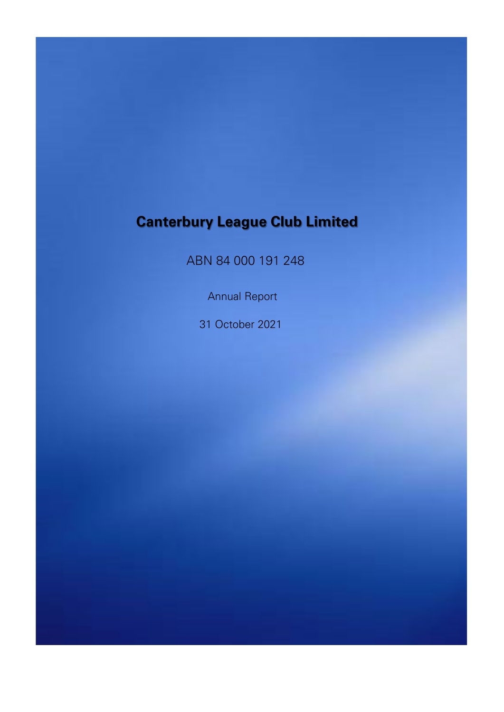ABN 84 000 191 248

Annual Report

31 October 2021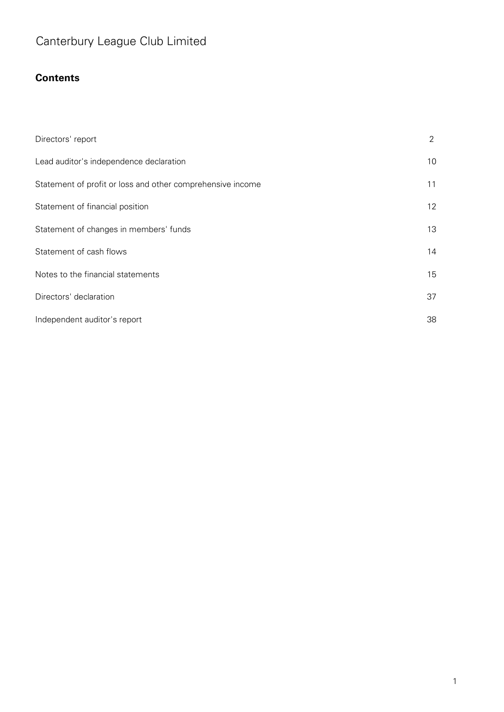### **Contents**

| Directors' report                                          | $\overline{2}$ |
|------------------------------------------------------------|----------------|
| Lead auditor's independence declaration                    | 10             |
| Statement of profit or loss and other comprehensive income | 11             |
| Statement of financial position                            | 12             |
| Statement of changes in members' funds                     | 13             |
| Statement of cash flows                                    | 14             |
| Notes to the financial statements                          | 15             |
| Directors' declaration                                     | 37             |
| Independent auditor's report                               | 38             |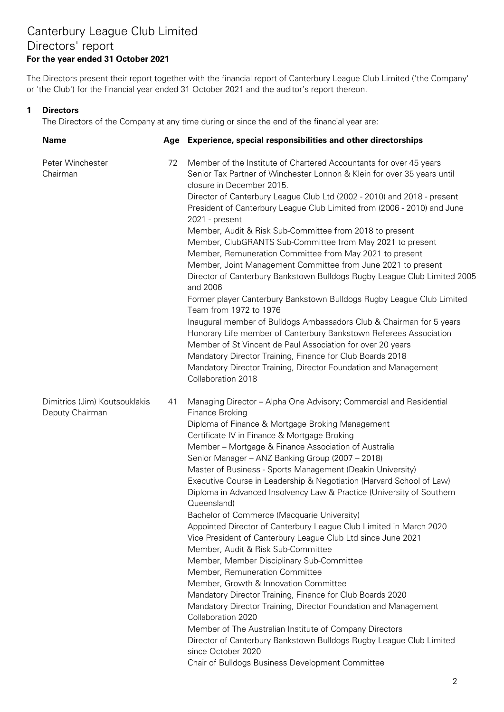### Canterbury League Club Limited Directors' report **For the year ended 31 October 2021**

The Directors present their report together with the financial report of Canterbury League Club Limited ('the Company' or 'the Club') for the financial year ended 31 October 2021 and the auditor's report thereon.

#### **1 Directors**

The Directors of the Company at any time during or since the end of the financial year are:

| <b>Name</b>                                      |    | Age Experience, special responsibilities and other directorships                                                                                                                                                                                      |
|--------------------------------------------------|----|-------------------------------------------------------------------------------------------------------------------------------------------------------------------------------------------------------------------------------------------------------|
| Peter Winchester<br>Chairman                     | 72 | Member of the Institute of Chartered Accountants for over 45 years<br>Senior Tax Partner of Winchester Lonnon & Klein for over 35 years until<br>closure in December 2015.<br>Director of Canterbury League Club Ltd (2002 - 2010) and 2018 - present |
|                                                  |    | President of Canterbury League Club Limited from (2006 - 2010) and June<br>2021 - present                                                                                                                                                             |
|                                                  |    | Member, Audit & Risk Sub-Committee from 2018 to present                                                                                                                                                                                               |
|                                                  |    | Member, ClubGRANTS Sub-Committee from May 2021 to present                                                                                                                                                                                             |
|                                                  |    | Member, Remuneration Committee from May 2021 to present<br>Member, Joint Management Committee from June 2021 to present                                                                                                                               |
|                                                  |    | Director of Canterbury Bankstown Bulldogs Rugby League Club Limited 2005<br>and 2006                                                                                                                                                                  |
|                                                  |    | Former player Canterbury Bankstown Bulldogs Rugby League Club Limited<br>Team from 1972 to 1976                                                                                                                                                       |
|                                                  |    | Inaugural member of Bulldogs Ambassadors Club & Chairman for 5 years                                                                                                                                                                                  |
|                                                  |    | Honorary Life member of Canterbury Bankstown Referees Association                                                                                                                                                                                     |
|                                                  |    | Member of St Vincent de Paul Association for over 20 years                                                                                                                                                                                            |
|                                                  |    | Mandatory Director Training, Finance for Club Boards 2018<br>Mandatory Director Training, Director Foundation and Management                                                                                                                          |
|                                                  |    | Collaboration 2018                                                                                                                                                                                                                                    |
| Dimitrios (Jim) Koutsouklakis<br>Deputy Chairman | 41 | Managing Director - Alpha One Advisory; Commercial and Residential<br>Finance Broking                                                                                                                                                                 |
|                                                  |    | Diploma of Finance & Mortgage Broking Management                                                                                                                                                                                                      |
|                                                  |    | Certificate IV in Finance & Mortgage Broking                                                                                                                                                                                                          |
|                                                  |    | Member - Mortgage & Finance Association of Australia                                                                                                                                                                                                  |
|                                                  |    | Senior Manager - ANZ Banking Group (2007 - 2018)                                                                                                                                                                                                      |
|                                                  |    | Master of Business - Sports Management (Deakin University)<br>Executive Course in Leadership & Negotiation (Harvard School of Law)                                                                                                                    |
|                                                  |    | Diploma in Advanced Insolvency Law & Practice (University of Southern<br>Queensland)                                                                                                                                                                  |
|                                                  |    | Bachelor of Commerce (Macquarie University)                                                                                                                                                                                                           |
|                                                  |    | Appointed Director of Canterbury League Club Limited in March 2020<br>Vice President of Canterbury League Club Ltd since June 2021                                                                                                                    |
|                                                  |    | Member, Audit & Risk Sub-Committee                                                                                                                                                                                                                    |
|                                                  |    | Member, Member Disciplinary Sub-Committee                                                                                                                                                                                                             |
|                                                  |    | Member, Remuneration Committee<br>Member, Growth & Innovation Committee                                                                                                                                                                               |
|                                                  |    | Mandatory Director Training, Finance for Club Boards 2020                                                                                                                                                                                             |
|                                                  |    | Mandatory Director Training, Director Foundation and Management<br>Collaboration 2020                                                                                                                                                                 |
|                                                  |    | Member of The Australian Institute of Company Directors                                                                                                                                                                                               |
|                                                  |    | Director of Canterbury Bankstown Bulldogs Rugby League Club Limited<br>since October 2020                                                                                                                                                             |
|                                                  |    | Chair of Bulldogs Business Development Committee                                                                                                                                                                                                      |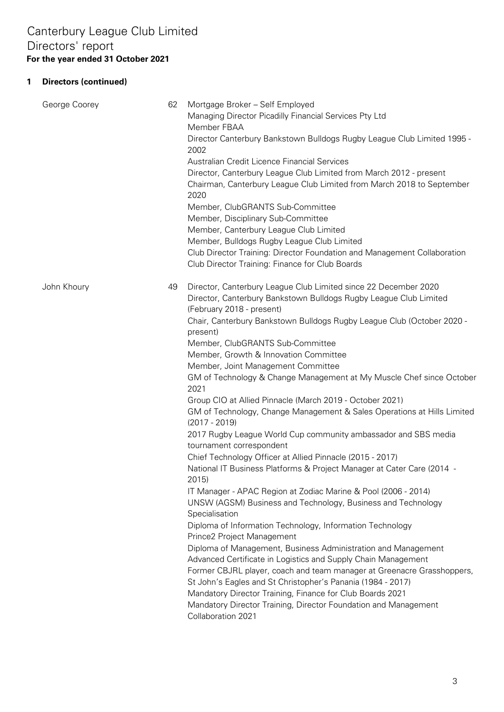| George Coorey | 62 | Mortgage Broker - Self Employed<br>Managing Director Picadilly Financial Services Pty Ltd<br>Member FBAA<br>Director Canterbury Bankstown Bulldogs Rugby League Club Limited 1995 -<br>2002<br>Australian Credit Licence Financial Services<br>Director, Canterbury League Club Limited from March 2012 - present<br>Chairman, Canterbury League Club Limited from March 2018 to September<br>2020<br>Member, ClubGRANTS Sub-Committee<br>Member, Disciplinary Sub-Committee<br>Member, Canterbury League Club Limited<br>Member, Bulldogs Rugby League Club Limited<br>Club Director Training: Director Foundation and Management Collaboration<br>Club Director Training: Finance for Club Boards                                                                                                                                                                                                                                                                                                                                                                                                                                                                                                                                                                                                                                                                                                                                                                                                                                                |
|---------------|----|----------------------------------------------------------------------------------------------------------------------------------------------------------------------------------------------------------------------------------------------------------------------------------------------------------------------------------------------------------------------------------------------------------------------------------------------------------------------------------------------------------------------------------------------------------------------------------------------------------------------------------------------------------------------------------------------------------------------------------------------------------------------------------------------------------------------------------------------------------------------------------------------------------------------------------------------------------------------------------------------------------------------------------------------------------------------------------------------------------------------------------------------------------------------------------------------------------------------------------------------------------------------------------------------------------------------------------------------------------------------------------------------------------------------------------------------------------------------------------------------------------------------------------------------------|
| John Khoury   | 49 | Director, Canterbury League Club Limited since 22 December 2020<br>Director, Canterbury Bankstown Bulldogs Rugby League Club Limited<br>(February 2018 - present)<br>Chair, Canterbury Bankstown Bulldogs Rugby League Club (October 2020 -<br>present)<br>Member, ClubGRANTS Sub-Committee<br>Member, Growth & Innovation Committee<br>Member, Joint Management Committee<br>GM of Technology & Change Management at My Muscle Chef since October<br>2021<br>Group CIO at Allied Pinnacle (March 2019 - October 2021)<br>GM of Technology, Change Management & Sales Operations at Hills Limited<br>$(2017 - 2019)$<br>2017 Rugby League World Cup community ambassador and SBS media<br>tournament correspondent<br>Chief Technology Officer at Allied Pinnacle (2015 - 2017)<br>National IT Business Platforms & Project Manager at Cater Care (2014 -<br>2015)<br>IT Manager - APAC Region at Zodiac Marine & Pool (2006 - 2014)<br>UNSW (AGSM) Business and Technology, Business and Technology<br>Specialisation<br>Diploma of Information Technology, Information Technology<br>Prince2 Project Management<br>Diploma of Management, Business Administration and Management<br>Advanced Certificate in Logistics and Supply Chain Management<br>Former CBJRL player, coach and team manager at Greenacre Grasshoppers,<br>St John's Eagles and St Christopher's Panania (1984 - 2017)<br>Mandatory Director Training, Finance for Club Boards 2021<br>Mandatory Director Training, Director Foundation and Management<br>Collaboration 2021 |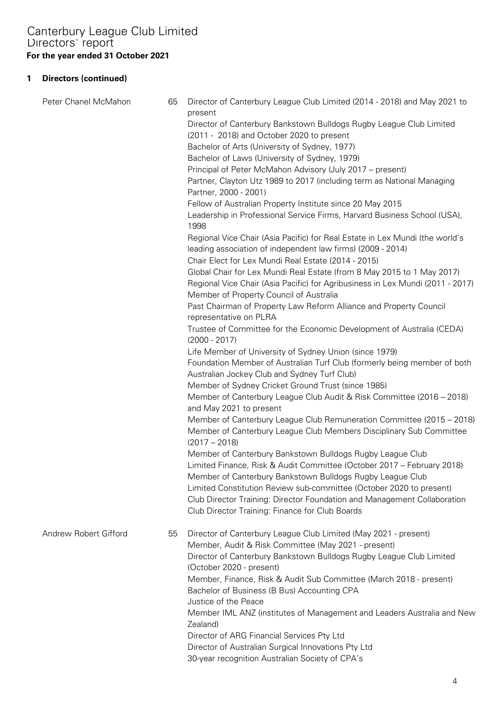| Peter Chanel McMahon  | 65 | Director of Canterbury League Club Limited (2014 - 2018) and May 2021 to<br>present<br>Director of Canterbury Bankstown Bulldogs Rugby League Club Limited<br>(2011 - 2018) and October 2020 to present<br>Bachelor of Arts (University of Sydney, 1977)<br>Bachelor of Laws (University of Sydney, 1979)<br>Principal of Peter McMahon Advisory (July 2017 – present)<br>Partner, Clayton Utz 1989 to 2017 (including term as National Managing<br>Partner, 2000 - 2001)                                  |
|-----------------------|----|------------------------------------------------------------------------------------------------------------------------------------------------------------------------------------------------------------------------------------------------------------------------------------------------------------------------------------------------------------------------------------------------------------------------------------------------------------------------------------------------------------|
|                       |    | Fellow of Australian Property Institute since 20 May 2015<br>Leadership in Professional Service Firms, Harvard Business School (USA),<br>1998                                                                                                                                                                                                                                                                                                                                                              |
|                       |    | Regional Vice Chair (Asia Pacific) for Real Estate in Lex Mundi (the world's<br>leading association of independent law firms) (2009 - 2014)<br>Chair Elect for Lex Mundi Real Estate (2014 - 2015)<br>Global Chair for Lex Mundi Real Estate (from 8 May 2015 to 1 May 2017)                                                                                                                                                                                                                               |
|                       |    | Regional Vice Chair (Asia Pacific) for Agribusiness in Lex Mundi (2011 - 2017)<br>Member of Property Council of Australia<br>Past Chairman of Property Law Reform Alliance and Property Council<br>representative on PLRA<br>Trustee of Committee for the Economic Development of Australia (CEDA)                                                                                                                                                                                                         |
|                       |    | $(2000 - 2017)$<br>Life Member of University of Sydney Union (since 1979)<br>Foundation Member of Australian Turf Club (formerly being member of both                                                                                                                                                                                                                                                                                                                                                      |
|                       |    | Australian Jockey Club and Sydney Turf Club)<br>Member of Sydney Cricket Ground Trust (since 1985)<br>Member of Canterbury League Club Audit & Risk Committee (2016 - 2018)<br>and May 2021 to present                                                                                                                                                                                                                                                                                                     |
|                       |    | Member of Canterbury League Club Remuneration Committee (2015 - 2018)<br>Member of Canterbury League Club Members Disciplinary Sub Committee<br>$(2017 - 2018)$                                                                                                                                                                                                                                                                                                                                            |
|                       |    | Member of Canterbury Bankstown Bulldogs Rugby League Club<br>Limited Finance, Risk & Audit Committee (October 2017 - February 2018)<br>Member of Canterbury Bankstown Bulldogs Rugby League Club<br>Limited Constitution Review sub-committee (October 2020 to present)<br>Club Director Training: Director Foundation and Management Collaboration<br>Club Director Training: Finance for Club Boards                                                                                                     |
| Andrew Robert Gifford | 55 | Director of Canterbury League Club Limited (May 2021 - present)<br>Member, Audit & Risk Committee (May 2021 - present)<br>Director of Canterbury Bankstown Bulldogs Rugby League Club Limited<br>(October 2020 - present)<br>Member, Finance, Risk & Audit Sub Committee (March 2018 - present)<br>Bachelor of Business (B Bus) Accounting CPA<br>Justice of the Peace<br>Member IML ANZ (institutes of Management and Leaders Australia and New<br>Zealand)<br>Director of ARG Financial Services Pty Ltd |
|                       |    | Director of Australian Surgical Innovations Pty Ltd<br>30-year recognition Australian Society of CPA's                                                                                                                                                                                                                                                                                                                                                                                                     |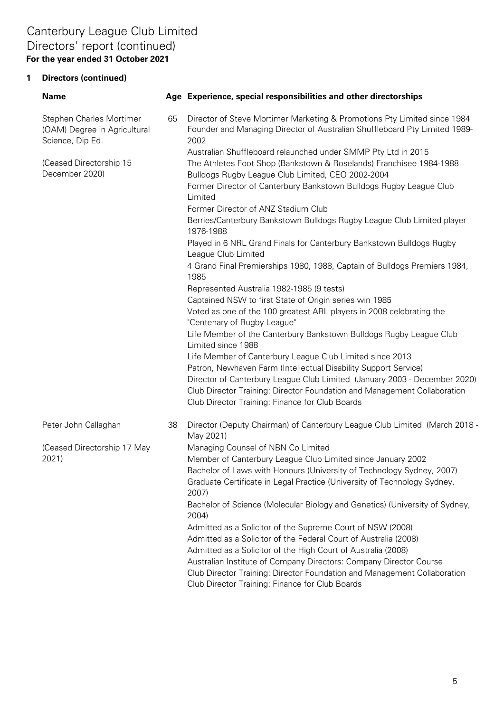## Canterbury League Club Limited **For the year ended 31 October 2021** Directors' report (continued)

| <b>Name</b>                                                                         |    | Age Experience, special responsibilities and other directorships                                                                                                                          |
|-------------------------------------------------------------------------------------|----|-------------------------------------------------------------------------------------------------------------------------------------------------------------------------------------------|
| <b>Stephen Charles Mortimer</b><br>(OAM) Degree in Agricultural<br>Science, Dip Ed. | 65 | Director of Steve Mortimer Marketing & Promotions Pty Limited since 1984<br>Founder and Managing Director of Australian Shuffleboard Pty Limited 1989-<br>2002                            |
| (Ceased Directorship 15<br>December 2020)                                           |    | Australian Shuffleboard relaunched under SMMP Pty Ltd in 2015<br>The Athletes Foot Shop (Bankstown & Roselands) Franchisee 1984-1988<br>Bulldogs Rugby League Club Limited, CEO 2002-2004 |
|                                                                                     |    | Former Director of Canterbury Bankstown Bulldogs Rugby League Club<br>Limited                                                                                                             |
|                                                                                     |    | Former Director of ANZ Stadium Club<br>Berries/Canterbury Bankstown Bulldogs Rugby League Club Limited player<br>1976-1988                                                                |
|                                                                                     |    | Played in 6 NRL Grand Finals for Canterbury Bankstown Bulldogs Rugby<br>League Club Limited                                                                                               |
|                                                                                     |    | 4 Grand Final Premierships 1980, 1988, Captain of Bulldogs Premiers 1984,<br>1985                                                                                                         |
|                                                                                     |    | Represented Australia 1982-1985 (9 tests)                                                                                                                                                 |
|                                                                                     |    | Captained NSW to first State of Origin series win 1985                                                                                                                                    |
|                                                                                     |    | Voted as one of the 100 greatest ARL players in 2008 celebrating the<br>"Centenary of Rugby League"                                                                                       |
|                                                                                     |    | Life Member of the Canterbury Bankstown Bulldogs Rugby League Club<br>Limited since 1988                                                                                                  |
|                                                                                     |    | Life Member of Canterbury League Club Limited since 2013                                                                                                                                  |
|                                                                                     |    | Patron, Newhaven Farm (Intellectual Disability Support Service)                                                                                                                           |
|                                                                                     |    | Director of Canterbury League Club Limited (January 2003 - December 2020)                                                                                                                 |
|                                                                                     |    | Club Director Training: Director Foundation and Management Collaboration<br>Club Director Training: Finance for Club Boards                                                               |
| Peter John Callaghan                                                                | 38 | Director (Deputy Chairman) of Canterbury League Club Limited (March 2018 -<br>May 2021)                                                                                                   |
| (Ceased Directorship 17 May                                                         |    | Managing Counsel of NBN Co Limited                                                                                                                                                        |
| 2021)                                                                               |    | Member of Canterbury League Club Limited since January 2002                                                                                                                               |
|                                                                                     |    | Bachelor of Laws with Honours (University of Technology Sydney, 2007)                                                                                                                     |
|                                                                                     |    | Graduate Certificate in Legal Practice (University of Technology Sydney,<br>2007)                                                                                                         |
|                                                                                     |    | Bachelor of Science (Molecular Biology and Genetics) (University of Sydney,<br>2004)                                                                                                      |
|                                                                                     |    | Admitted as a Solicitor of the Supreme Court of NSW (2008)                                                                                                                                |
|                                                                                     |    | Admitted as a Solicitor of the Federal Court of Australia (2008)                                                                                                                          |
|                                                                                     |    | Admitted as a Solicitor of the High Court of Australia (2008)                                                                                                                             |
|                                                                                     |    | Australian Institute of Company Directors: Company Director Course                                                                                                                        |
|                                                                                     |    | Club Director Training: Director Foundation and Management Collaboration<br>Club Director Training: Finance for Club Boards                                                               |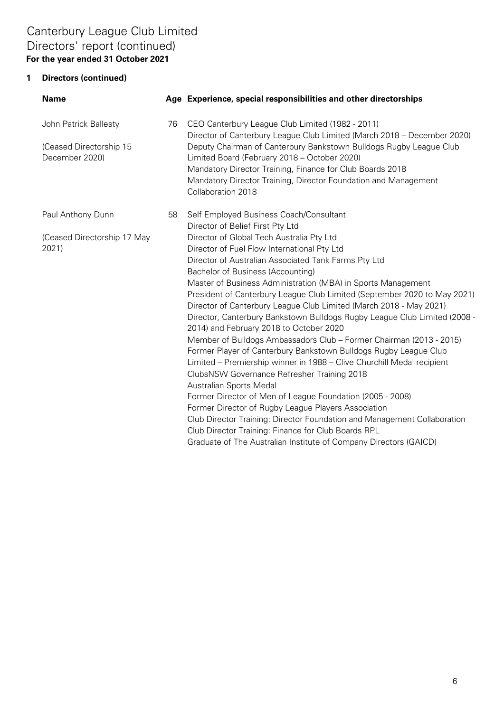## **For the year ended 31 October 2021** Canterbury League Club Limited Directors' report (continued)

| <b>Name</b>                               |    | Age Experience, special responsibilities and other directorships                                                                               |
|-------------------------------------------|----|------------------------------------------------------------------------------------------------------------------------------------------------|
| John Patrick Ballesty                     | 76 | CEO Canterbury League Club Limited (1982 - 2011)<br>Director of Canterbury League Club Limited (March 2018 - December 2020)                    |
| (Ceased Directorship 15<br>December 2020) |    | Deputy Chairman of Canterbury Bankstown Bulldogs Rugby League Club<br>Limited Board (February 2018 - October 2020)                             |
|                                           |    | Mandatory Director Training, Finance for Club Boards 2018                                                                                      |
|                                           |    | Mandatory Director Training, Director Foundation and Management<br>Collaboration 2018                                                          |
| Paul Anthony Dunn                         | 58 | Self Employed Business Coach/Consultant                                                                                                        |
|                                           |    | Director of Belief First Pty Ltd                                                                                                               |
| (Ceased Directorship 17 May               |    | Director of Global Tech Australia Pty Ltd                                                                                                      |
| 2021)                                     |    | Director of Fuel Flow International Pty Ltd                                                                                                    |
|                                           |    | Director of Australian Associated Tank Farms Pty Ltd                                                                                           |
|                                           |    | Bachelor of Business (Accounting)                                                                                                              |
|                                           |    | Master of Business Administration (MBA) in Sports Management                                                                                   |
|                                           |    | President of Canterbury League Club Limited (September 2020 to May 2021)<br>Director of Canterbury League Club Limited (March 2018 - May 2021) |
|                                           |    | Director, Canterbury Bankstown Bulldogs Rugby League Club Limited (2008 -                                                                      |
|                                           |    | 2014) and February 2018 to October 2020                                                                                                        |
|                                           |    | Member of Bulldogs Ambassadors Club - Former Chairman (2013 - 2015)                                                                            |
|                                           |    | Former Player of Canterbury Bankstown Bulldogs Rugby League Club                                                                               |
|                                           |    | Limited - Premiership winner in 1988 - Clive Churchill Medal recipient                                                                         |
|                                           |    | ClubsNSW Governance Refresher Training 2018                                                                                                    |
|                                           |    | Australian Sports Medal                                                                                                                        |
|                                           |    | Former Director of Men of League Foundation (2005 - 2008)                                                                                      |
|                                           |    | Former Director of Rugby League Players Association                                                                                            |
|                                           |    | Club Director Training: Director Foundation and Management Collaboration                                                                       |
|                                           |    | Club Director Training: Finance for Club Boards RPL                                                                                            |
|                                           |    | Graduate of The Australian Institute of Company Directors (GAICD)                                                                              |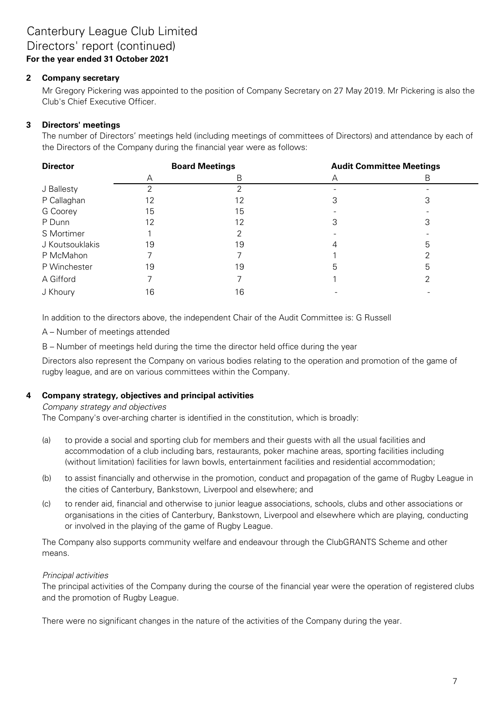#### **2 Company secretary**

Mr Gregory Pickering was appointed to the position of Company Secretary on 27 May 2019. Mr Pickering is also the Club's Chief Executive Officer.

#### **3 Directors' meetings**

The number of Directors' meetings held (including meetings of committees of Directors) and attendance by each of the Directors of the Company during the financial year were as follows:

| <b>Director</b> |    | <b>Board Meetings</b> | <b>Audit Committee Meetings</b> |   |  |
|-----------------|----|-----------------------|---------------------------------|---|--|
|                 | A  | В                     |                                 | В |  |
| J Ballesty      |    |                       |                                 |   |  |
| P Callaghan     | 12 | 12                    |                                 | د |  |
| G Coorey        | 15 | 15                    |                                 |   |  |
| P Dunn          | 12 | 12                    |                                 | З |  |
| S Mortimer      |    |                       |                                 |   |  |
| J Koutsouklakis | 19 | 19                    |                                 |   |  |
| P McMahon       |    |                       |                                 |   |  |
| P Winchester    | 19 | 19                    | b                               | ხ |  |
| A Gifford       |    |                       |                                 |   |  |
| J Khoury        | 16 | 16                    |                                 |   |  |

In addition to the directors above, the independent Chair of the Audit Committee is: G Russell

A – Number of meetings attended

B – Number of meetings held during the time the director held office during the year

Directors also represent the Company on various bodies relating to the operation and promotion of the game of rugby league, and are on various committees within the Company.

#### **4 Company strategy, objectives and principal activities**

#### Company strategy and objectives

The Company's over-arching charter is identified in the constitution, which is broadly:

- (a) to provide a social and sporting club for members and their guests with all the usual facilities and accommodation of a club including bars, restaurants, poker machine areas, sporting facilities including (without limitation) facilities for lawn bowls, entertainment facilities and residential accommodation;
- (b) to assist financially and otherwise in the promotion, conduct and propagation of the game of Rugby League in the cities of Canterbury, Bankstown, Liverpool and elsewhere; and
- (c) to render aid, financial and otherwise to junior league associations, schools, clubs and other associations or organisations in the cities of Canterbury, Bankstown, Liverpool and elsewhere which are playing, conducting or involved in the playing of the game of Rugby League.

The Company also supports community welfare and endeavour through the ClubGRANTS Scheme and other means.

#### Principal activities

The principal activities of the Company during the course of the financial year were the operation of registered clubs and the promotion of Rugby League.

There were no significant changes in the nature of the activities of the Company during the year.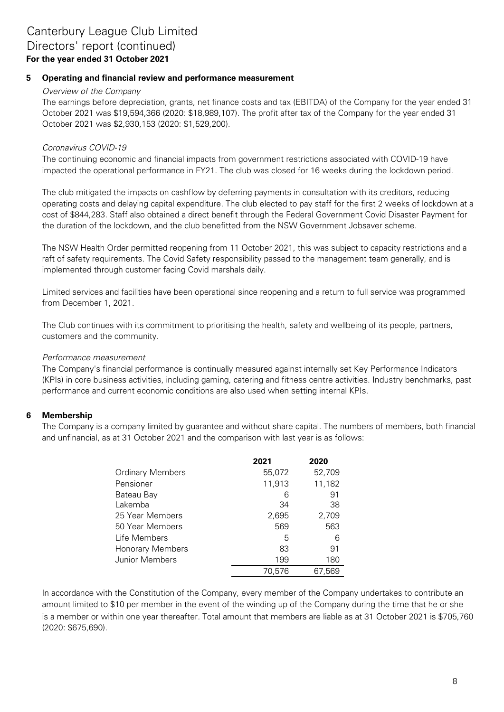#### **5 Operating and financial review and performance measurement**

#### Overview of the Company

The earnings before depreciation, grants, net finance costs and tax (EBITDA) of the Company for the year ended 31 October 2021 was \$19,594,366 (2020: \$18,989,107). The profit after tax of the Company for the year ended 31 October 2021 was \$2,930,153 (2020: \$1,529,200).

#### Coronavirus COVID-19

The continuing economic and financial impacts from government restrictions associated with COVID-19 have impacted the operational performance in FY21. The club was closed for 16 weeks during the lockdown period.

The club mitigated the impacts on cashflow by deferring payments in consultation with its creditors, reducing operating costs and delaying capital expenditure. The club elected to pay staff for the first 2 weeks of lockdown at a cost of \$844,283. Staff also obtained a direct benefit through the Federal Government Covid Disaster Payment for the duration of the lockdown, and the club benefitted from the NSW Government Jobsaver scheme.

The NSW Health Order permitted reopening from 11 October 2021, this was subject to capacity restrictions and a raft of safety requirements. The Covid Safety responsibility passed to the management team generally, and is implemented through customer facing Covid marshals daily.

Limited services and facilities have been operational since reopening and a return to full service was programmed from December 1, 2021.

The Club continues with its commitment to prioritising the health, safety and wellbeing of its people, partners, customers and the community.

#### Performance measurement

The Company's financial performance is continually measured against internally set Key Performance Indicators (KPIs) in core business activities, including gaming, catering and fitness centre activities. Industry benchmarks, past performance and current economic conditions are also used when setting internal KPIs.

#### **6 Membership**

The Company is a company limited by guarantee and without share capital. The numbers of members, both financial and unfinancial, as at 31 October 2021 and the comparison with last year is as follows:

|                         | 2021   | 2020   |
|-------------------------|--------|--------|
| <b>Ordinary Members</b> | 55,072 | 52,709 |
| Pensioner               | 11,913 | 11,182 |
| Bateau Bay              | 6      | 91     |
| Lakemba                 | 34     | 38     |
| 25 Year Members         | 2,695  | 2,709  |
| 50 Year Members         | 569    | 563    |
| Life Members            | 5      | 6      |
| <b>Honorary Members</b> | 83     | 91     |
| Junior Members          | 199    | 180    |
|                         | 70.576 | 67,569 |

In accordance with the Constitution of the Company, every member of the Company undertakes to contribute an amount limited to \$10 per member in the event of the winding up of the Company during the time that he or she is a member or within one year thereafter. Total amount that members are liable as at 31 October 2021 is \$705,760 (2020: \$675,690).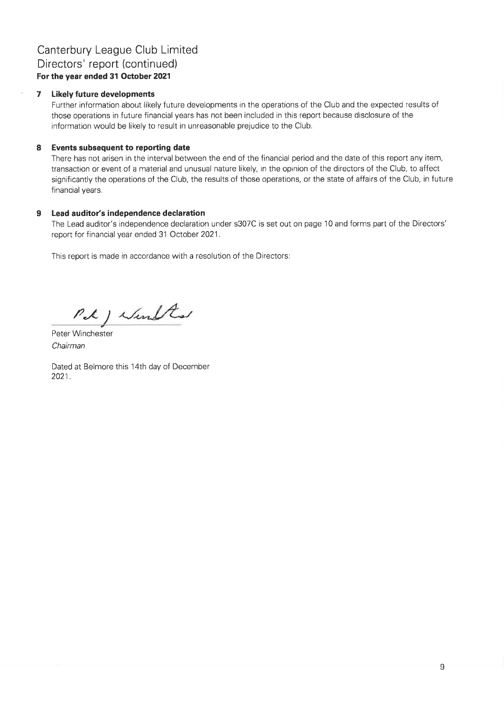### Canterbury League Club Limited Directors' report (continued) For the year ended 31 October 2021

#### $\overline{7}$ **Likely future developments**

Further information about likely future developments in the operations of the Club and the expected results of those operations in future financial years has not been included in this report because disclosure of the information would be likely to result in unreasonable prejudice to the Club.

#### 8 Events subsequent to reporting date

There has not arisen in the interval between the end of the financial period and the date of this report any item, transaction or event of a material and unusual nature likely, in the opinion of the directors of the Club, to affect significantly the operations of the Club, the results of those operations, or the state of affairs of the Club, in future financial years.

#### $9$ Lead auditor's independence declaration

The Lead auditor's independence declaration under s307C is set out on page 10 and forms part of the Directors' report for financial year ended 31 October 2021.

This report is made in accordance with a resolution of the Directors:

Pet ) Wind Red

Peter Winchester Chairman

Dated at Belmore this 14th day of December 2021.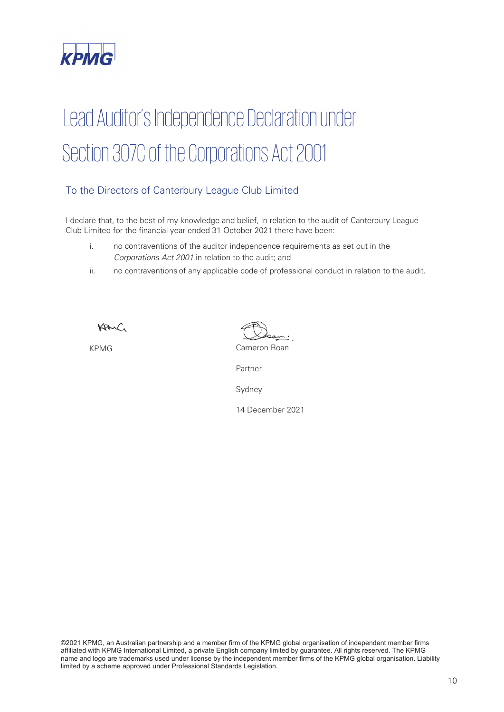

# Lead Auditor's Independence Declaration under Section 307C of the Corporations Act 2001

### To the Directors of Canterbury League Club Limited

I declare that, to the best of my knowledge and belief, in relation to the audit of Canterbury League Club Limited for the financial year ended 31 October 2021 there have been:

- i. no contraventions of the auditor independence requirements as set out in the *Corporations Act 2001* in relation to the audit; and
- ii. no contraventions of any applicable code of professional conduct in relation to the audit.

KANC

KPMG Cameron Roan

Partner

Sydney

14 December 2021

©2021 KPMG, an Australian partnership and a member firm of the KPMG global organisation of independent member firms affiliated with KPMG International Limited, a private English company limited by guarantee. All rights reserved. The KPMG name and logo are trademarks used under license by the independent member firms of the KPMG global organisation. Liability limited by a scheme approved under Professional Standards Legislation.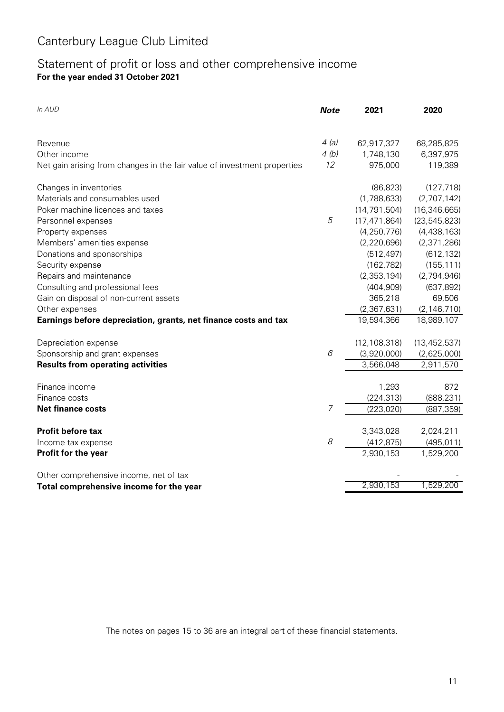### **For the year ended 31 October 2021** Statement of profit or loss and other comprehensive income

| In AUD                                                                   | <b>Note</b> | 2021           | 2020           |
|--------------------------------------------------------------------------|-------------|----------------|----------------|
| Revenue                                                                  | 4(a)        | 62,917,327     | 68,285,825     |
| Other income                                                             | 4(b)        | 1,748,130      | 6,397,975      |
| Net gain arising from changes in the fair value of investment properties | 12          | 975,000        | 119,389        |
| Changes in inventories                                                   |             | (86, 823)      | (127, 718)     |
| Materials and consumables used                                           |             | (1,788,633)    | (2,707,142)    |
| Poker machine licences and taxes                                         |             | (14, 791, 504) | (16, 346, 665) |
| Personnel expenses                                                       | 5           | (17, 471, 864) | (23, 545, 823) |
| Property expenses                                                        |             | (4, 250, 776)  | (4, 438, 163)  |
| Members' amenities expense                                               |             | (2, 220, 696)  | (2,371,286)    |
| Donations and sponsorships                                               |             | (512, 497)     | (612, 132)     |
| Security expense                                                         |             | (162, 782)     | (155, 111)     |
| Repairs and maintenance                                                  |             | (2, 353, 194)  | (2,794,946)    |
| Consulting and professional fees                                         |             | (404, 909)     | (637, 892)     |
| Gain on disposal of non-current assets                                   |             | 365,218        | 69,506         |
| Other expenses                                                           |             | (2,367,631)    | (2, 146, 710)  |
| Earnings before depreciation, grants, net finance costs and tax          |             | 19,594,366     | 18,989,107     |
| Depreciation expense                                                     |             | (12, 108, 318) | (13, 452, 537) |
| Sponsorship and grant expenses                                           | 6           | (3,920,000)    | (2,625,000)    |
| <b>Results from operating activities</b>                                 |             | 3,566,048      | 2,911,570      |
| Finance income                                                           |             | 1,293          | 872            |
| Finance costs                                                            |             | (224, 313)     | (888, 231)     |
| <b>Net finance costs</b>                                                 | 7           | (223, 020)     | (887, 359)     |
| <b>Profit before tax</b>                                                 |             | 3,343,028      | 2,024,211      |
| Income tax expense                                                       | 8           | (412, 875)     | (495, 011)     |
| Profit for the year                                                      |             | 2,930,153      | 1,529,200      |
| Other comprehensive income, net of tax                                   |             |                |                |
| Total comprehensive income for the year                                  |             | 2,930,153      | 1,529,200      |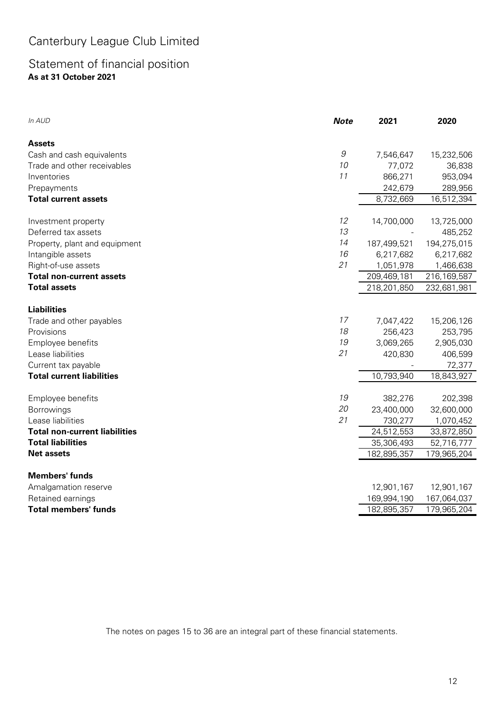## Statement of financial position **As at 31 October 2021**

| In AUD                               | <b>Note</b>  | 2021        | 2020        |
|--------------------------------------|--------------|-------------|-------------|
| <b>Assets</b>                        |              |             |             |
| Cash and cash equivalents            | $\mathcal G$ | 7,546,647   | 15,232,506  |
| Trade and other receivables          | 10           | 77,072      | 36,838      |
| Inventories                          | 11           | 866,271     | 953,094     |
| Prepayments                          |              | 242,679     | 289,956     |
| <b>Total current assets</b>          |              | 8,732,669   | 16,512,394  |
| Investment property                  | 12           | 14,700,000  | 13,725,000  |
| Deferred tax assets                  | 13           |             | 485,252     |
| Property, plant and equipment        | 14           | 187,499,521 | 194,275,015 |
| Intangible assets                    | 16           | 6,217,682   | 6,217,682   |
| Right-of-use assets                  | 21           | 1,051,978   | 1,466,638   |
| <b>Total non-current assets</b>      |              | 209,469,181 | 216,169,587 |
| <b>Total assets</b>                  |              | 218,201,850 | 232,681,981 |
| <b>Liabilities</b>                   |              |             |             |
| Trade and other payables             | 17           | 7,047,422   | 15,206,126  |
| Provisions                           | 18           | 256,423     | 253,795     |
| Employee benefits                    | 19           | 3,069,265   | 2,905,030   |
| Lease liabilities                    | 21           | 420,830     | 406,599     |
| Current tax payable                  |              |             | 72,377      |
| <b>Total current liabilities</b>     |              | 10,793,940  | 18,843,927  |
| Employee benefits                    | 19           | 382,276     | 202,398     |
| Borrowings                           | 20           | 23,400,000  | 32,600,000  |
| Lease liabilities                    | 21           | 730,277     | 1,070,452   |
| <b>Total non-current liabilities</b> |              | 24,512,553  | 33,872,850  |
| <b>Total liabilities</b>             |              | 35,306,493  | 52,716,777  |
| <b>Net assets</b>                    |              | 182,895,357 | 179,965,204 |
| <b>Members' funds</b>                |              |             |             |
| Amalgamation reserve                 |              | 12,901,167  | 12,901,167  |
| Retained earnings                    |              | 169,994,190 | 167,064,037 |
| <b>Total members' funds</b>          |              | 182,895,357 | 179,965,204 |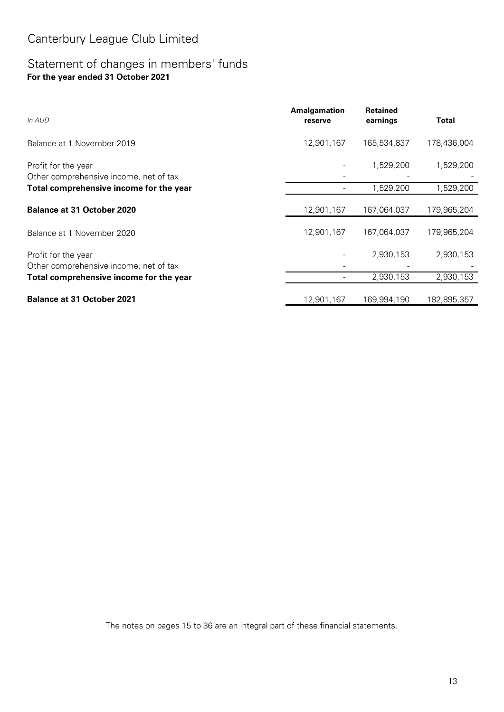### Statement of changes in members' funds **For the year ended 31 October 2021**

| In AUD                                                        | Amalgamation<br>reserve | <b>Retained</b><br>earnings | Total       |
|---------------------------------------------------------------|-------------------------|-----------------------------|-------------|
| Balance at 1 November 2019                                    | 12,901,167              | 165,534,837                 | 178,436,004 |
| Profit for the year<br>Other comprehensive income, net of tax |                         | 1,529,200                   | 1,529,200   |
| Total comprehensive income for the year                       |                         | 1,529,200                   | 1,529,200   |
| <b>Balance at 31 October 2020</b>                             | 12,901,167              | 167,064,037                 | 179,965,204 |
| Balance at 1 November 2020                                    | 12,901,167              | 167,064,037                 | 179,965,204 |
| Profit for the year<br>Other comprehensive income, net of tax |                         | 2,930,153                   | 2,930,153   |
| Total comprehensive income for the year                       |                         | 2,930,153                   | 2,930,153   |
| <b>Balance at 31 October 2021</b>                             | 12,901,167              | 169,994,190                 | 182,895,357 |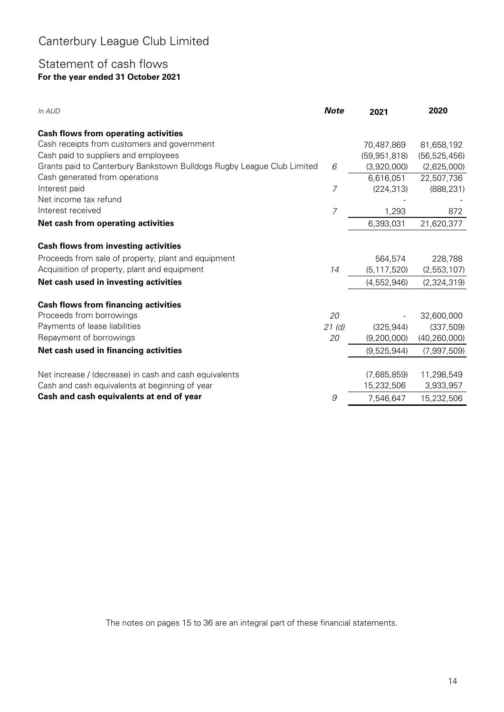### Statement of cash flows **For the year ended 31 October 2021**

| In AUD                                                                 | <b>Note</b> | 2021           | 2020           |
|------------------------------------------------------------------------|-------------|----------------|----------------|
| <b>Cash flows from operating activities</b>                            |             |                |                |
| Cash receipts from customers and government                            |             | 70,487,869     | 81,658,192     |
| Cash paid to suppliers and employees                                   |             | (59, 951, 818) | (56, 525, 456) |
| Grants paid to Canterbury Bankstown Bulldogs Rugby League Club Limited | 6           | (3,920,000)    | (2,625,000)    |
| Cash generated from operations                                         |             | 6,616,051      | 22,507,736     |
| Interest paid                                                          | 7           | (224, 313)     | (888, 231)     |
| Net income tax refund                                                  |             |                |                |
| Interest received                                                      | 7           | 1,293          | 872            |
| Net cash from operating activities                                     |             | 6,393,031      | 21,620,377     |
|                                                                        |             |                |                |
| <b>Cash flows from investing activities</b>                            |             |                |                |
| Proceeds from sale of property, plant and equipment                    |             | 564,574        | 228,788        |
| Acquisition of property, plant and equipment                           | 14          | (5, 117, 520)  | (2,553,107)    |
| Net cash used in investing activities                                  |             | (4,552,946)    | (2,324,319)    |
| <b>Cash flows from financing activities</b>                            |             |                |                |
| Proceeds from borrowings                                               | 20          |                | 32,600,000     |
| Payments of lease liabilities                                          | 21(d)       | (325, 944)     | (337, 509)     |
| Repayment of borrowings                                                | 20          | (9,200,000)    | (40, 260, 000) |
| Net cash used in financing activities                                  |             | (9,525,944)    | (7,997,509)    |
|                                                                        |             |                |                |
| Net increase / (decrease) in cash and cash equivalents                 |             | (7,685,859)    | 11,298,549     |
| Cash and cash equivalents at beginning of year                         |             | 15,232,506     | 3,933,957      |
| Cash and cash equivalents at end of year                               | 9           | 7,546,647      | 15,232,506     |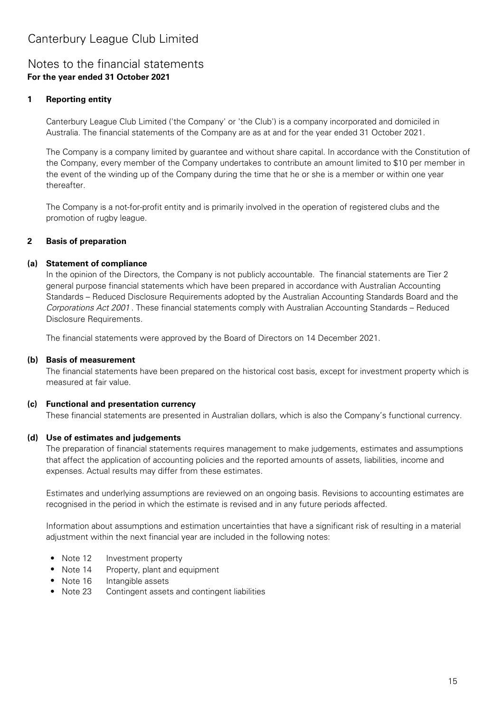### Notes to the financial statements **For the year ended 31 October 2021**

#### **1 Reporting entity**

Canterbury League Club Limited ('the Company' or 'the Club') is a company incorporated and domiciled in Australia. The financial statements of the Company are as at and for the year ended 31 October 2021.

The Company is a company limited by guarantee and without share capital. In accordance with the Constitution of the Company, every member of the Company undertakes to contribute an amount limited to \$10 per member in the event of the winding up of the Company during the time that he or she is a member or within one year thereafter.

The Company is a not-for-profit entity and is primarily involved in the operation of registered clubs and the promotion of rugby league.

#### **2 Basis of preparation**

#### **(a) Statement of compliance**

In the opinion of the Directors, the Company is not publicly accountable. The financial statements are Tier 2 general purpose financial statements which have been prepared in accordance with Australian Accounting Standards – Reduced Disclosure Requirements adopted by the Australian Accounting Standards Board and the Corporations Act 2001 . These financial statements comply with Australian Accounting Standards – Reduced Disclosure Requirements.

The financial statements were approved by the Board of Directors on 14 December 2021.

#### **(b) Basis of measurement**

The financial statements have been prepared on the historical cost basis, except for investment property which is measured at fair value.

#### **(c) Functional and presentation currency**

These financial statements are presented in Australian dollars, which is also the Company's functional currency.

#### **(d) Use of estimates and judgements**

The preparation of financial statements requires management to make judgements, estimates and assumptions that affect the application of accounting policies and the reported amounts of assets, liabilities, income and expenses. Actual results may differ from these estimates.

Estimates and underlying assumptions are reviewed on an ongoing basis. Revisions to accounting estimates are recognised in the period in which the estimate is revised and in any future periods affected.

Information about assumptions and estimation uncertainties that have a significant risk of resulting in a material adjustment within the next financial year are included in the following notes:

- **•** Note 12 Investment property
- **•** Note 14 Property, plant and equipment
- Note 16 Intangible assets
- **•** Note 23 Contingent assets and contingent liabilities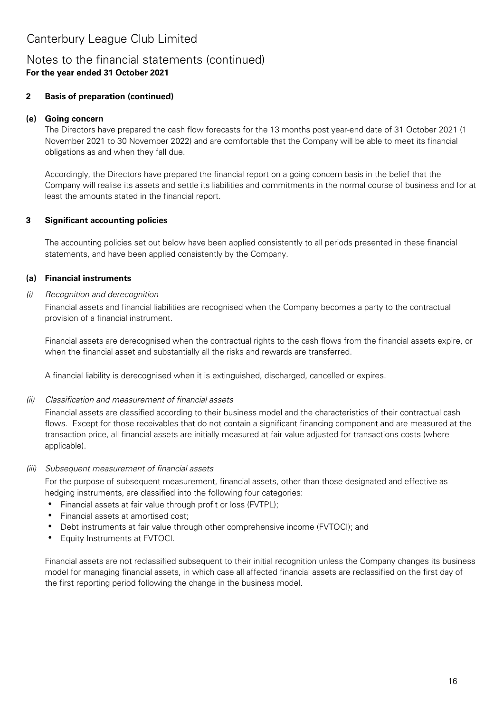### Notes to the financial statements (continued) **For the year ended 31 October 2021**

#### **2 Basis of preparation (continued)**

#### **(e) Going concern**

The Directors have prepared the cash flow forecasts for the 13 months post year-end date of 31 October 2021 (1 November 2021 to 30 November 2022) and are comfortable that the Company will be able to meet its financial obligations as and when they fall due.

Accordingly, the Directors have prepared the financial report on a going concern basis in the belief that the Company will realise its assets and settle its liabilities and commitments in the normal course of business and for at least the amounts stated in the financial report.

#### **3 Significant accounting policies**

The accounting policies set out below have been applied consistently to all periods presented in these financial statements, and have been applied consistently by the Company.

#### **(a) Financial instruments**

#### (i) Recognition and derecognition

Financial assets and financial liabilities are recognised when the Company becomes a party to the contractual provision of a financial instrument.

Financial assets are derecognised when the contractual rights to the cash flows from the financial assets expire, or when the financial asset and substantially all the risks and rewards are transferred.

A financial liability is derecognised when it is extinguished, discharged, cancelled or expires.

#### (ii) Classification and measurement of financial assets

Financial assets are classified according to their business model and the characteristics of their contractual cash flows. Except for those receivables that do not contain a significant financing component and are measured at the transaction price, all financial assets are initially measured at fair value adjusted for transactions costs (where applicable).

#### (iii) Subsequent measurement of financial assets

For the purpose of subsequent measurement, financial assets, other than those designated and effective as hedging instruments, are classified into the following four categories:

- Financial assets at fair value through profit or loss (FVTPL);
- Financial assets at amortised cost;
- Debt instruments at fair value through other comprehensive income (FVTOCI); and
- Equity Instruments at FVTOCI.

Financial assets are not reclassified subsequent to their initial recognition unless the Company changes its business model for managing financial assets, in which case all affected financial assets are reclassified on the first day of the first reporting period following the change in the business model.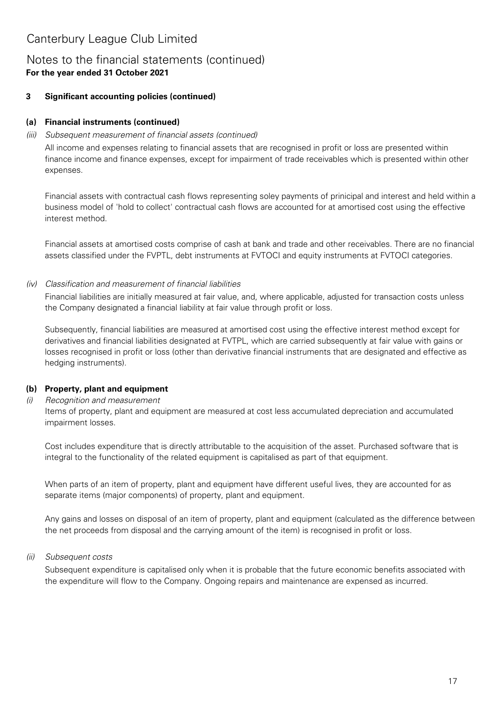### Notes to the financial statements (continued) **For the year ended 31 October 2021**

#### **3 Significant accounting policies (continued)**

### **(a) Financial instruments (continued)**

#### (iii) Subsequent measurement of financial assets (continued)

All income and expenses relating to financial assets that are recognised in profit or loss are presented within finance income and finance expenses, except for impairment of trade receivables which is presented within other expenses.

Financial assets with contractual cash flows representing soley payments of prinicipal and interest and held within a business model of 'hold to collect' contractual cash flows are accounted for at amortised cost using the effective interest method.

Financial assets at amortised costs comprise of cash at bank and trade and other receivables. There are no financial assets classified under the FVPTL, debt instruments at FVTOCI and equity instruments at FVTOCI categories.

#### (iv) Classification and measurement of financial liabilities

Financial liabilities are initially measured at fair value, and, where applicable, adjusted for transaction costs unless the Company designated a financial liability at fair value through profit or loss.

Subsequently, financial liabilities are measured at amortised cost using the effective interest method except for derivatives and financial liabilities designated at FVTPL, which are carried subsequently at fair value with gains or losses recognised in profit or loss (other than derivative financial instruments that are designated and effective as hedging instruments).

### **(b) Property, plant and equipment**

#### (i) Recognition and measurement

Items of property, plant and equipment are measured at cost less accumulated depreciation and accumulated impairment losses.

Cost includes expenditure that is directly attributable to the acquisition of the asset. Purchased software that is integral to the functionality of the related equipment is capitalised as part of that equipment.

When parts of an item of property, plant and equipment have different useful lives, they are accounted for as separate items (major components) of property, plant and equipment.

Any gains and losses on disposal of an item of property, plant and equipment (calculated as the difference between the net proceeds from disposal and the carrying amount of the item) is recognised in profit or loss.

#### (ii) Subsequent costs

Subsequent expenditure is capitalised only when it is probable that the future economic benefits associated with the expenditure will flow to the Company. Ongoing repairs and maintenance are expensed as incurred.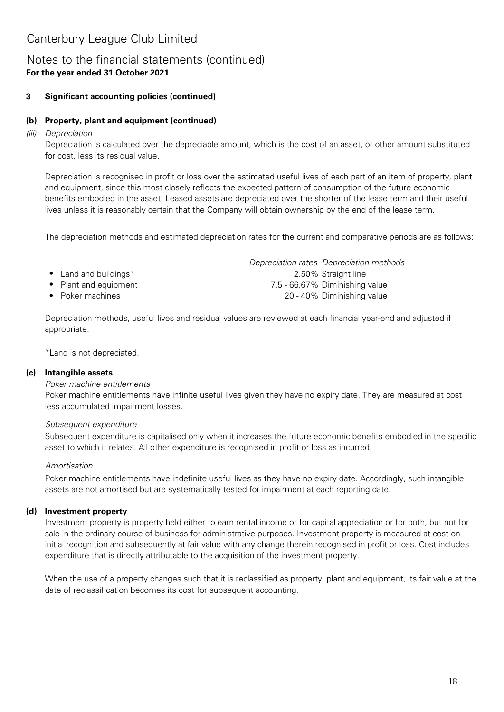### Notes to the financial statements (continued) **For the year ended 31 October 2021**

#### **3 Significant accounting policies (continued)**

#### **(b) Property, plant and equipment (continued)**

(iii) Depreciation

Depreciation is calculated over the depreciable amount, which is the cost of an asset, or other amount substituted for cost, less its residual value.

Depreciation is recognised in profit or loss over the estimated useful lives of each part of an item of property, plant and equipment, since this most closely reflects the expected pattern of consumption of the future economic benefits embodied in the asset. Leased assets are depreciated over the shorter of the lease term and their useful lives unless it is reasonably certain that the Company will obtain ownership by the end of the lease term.

The depreciation methods and estimated depreciation rates for the current and comparative periods are as follows:

- 
- 
- Poker machines

Depreciation rates Depreciation methods **•** 2.50% Straight line Land and buildings\* **•** Plant and equipment 7.5 - 66.67% Diminishing value **•** 20 - 40% Diminishing value

Depreciation methods, useful lives and residual values are reviewed at each financial year-end and adjusted if appropriate.

\*Land is not depreciated.

#### **(c) Intangible assets**

#### Poker machine entitlements

Poker machine entitlements have infinite useful lives given they have no expiry date. They are measured at cost less accumulated impairment losses.

#### Subsequent expenditure

Subsequent expenditure is capitalised only when it increases the future economic benefits embodied in the specific asset to which it relates. All other expenditure is recognised in profit or loss as incurred.

#### Amortisation

Poker machine entitlements have indefinite useful lives as they have no expiry date. Accordingly, such intangible assets are not amortised but are systematically tested for impairment at each reporting date.

#### **(d) Investment property**

Investment property is property held either to earn rental income or for capital appreciation or for both, but not for sale in the ordinary course of business for administrative purposes. Investment property is measured at cost on initial recognition and subsequently at fair value with any change therein recognised in profit or loss. Cost includes expenditure that is directly attributable to the acquisition of the investment property.

When the use of a property changes such that it is reclassified as property, plant and equipment, its fair value at the date of reclassification becomes its cost for subsequent accounting.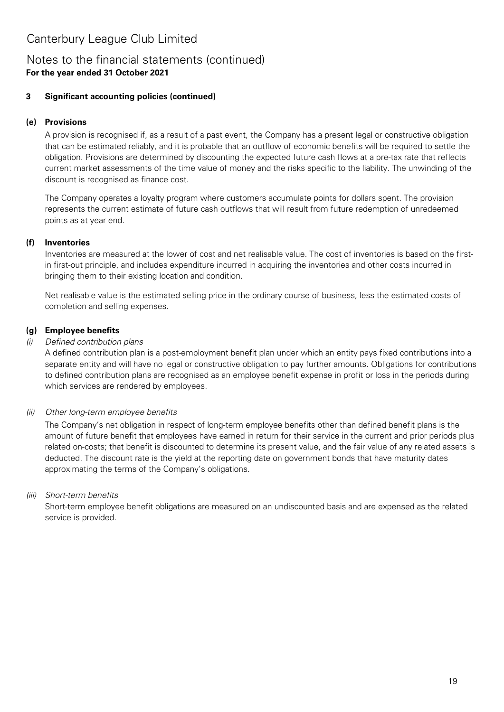### Notes to the financial statements (continued) **For the year ended 31 October 2021**

#### **3 Significant accounting policies (continued)**

### **(e) Provisions**

A provision is recognised if, as a result of a past event, the Company has a present legal or constructive obligation that can be estimated reliably, and it is probable that an outflow of economic benefits will be required to settle the obligation. Provisions are determined by discounting the expected future cash flows at a pre-tax rate that reflects current market assessments of the time value of money and the risks specific to the liability. The unwinding of the discount is recognised as finance cost.

The Company operates a loyalty program where customers accumulate points for dollars spent. The provision represents the current estimate of future cash outflows that will result from future redemption of unredeemed points as at year end.

#### **(f) Inventories**

Inventories are measured at the lower of cost and net realisable value. The cost of inventories is based on the firstin first-out principle, and includes expenditure incurred in acquiring the inventories and other costs incurred in bringing them to their existing location and condition.

Net realisable value is the estimated selling price in the ordinary course of business, less the estimated costs of completion and selling expenses.

### **(g) Employee benefits**

### (i) Defined contribution plans

A defined contribution plan is a post-employment benefit plan under which an entity pays fixed contributions into a separate entity and will have no legal or constructive obligation to pay further amounts. Obligations for contributions to defined contribution plans are recognised as an employee benefit expense in profit or loss in the periods during which services are rendered by employees.

### (ii) Other long-term employee benefits

The Company's net obligation in respect of long-term employee benefits other than defined benefit plans is the amount of future benefit that employees have earned in return for their service in the current and prior periods plus related on-costs; that benefit is discounted to determine its present value, and the fair value of any related assets is deducted. The discount rate is the yield at the reporting date on government bonds that have maturity dates approximating the terms of the Company's obligations.

### (iii) Short-term benefits

Short-term employee benefit obligations are measured on an undiscounted basis and are expensed as the related service is provided.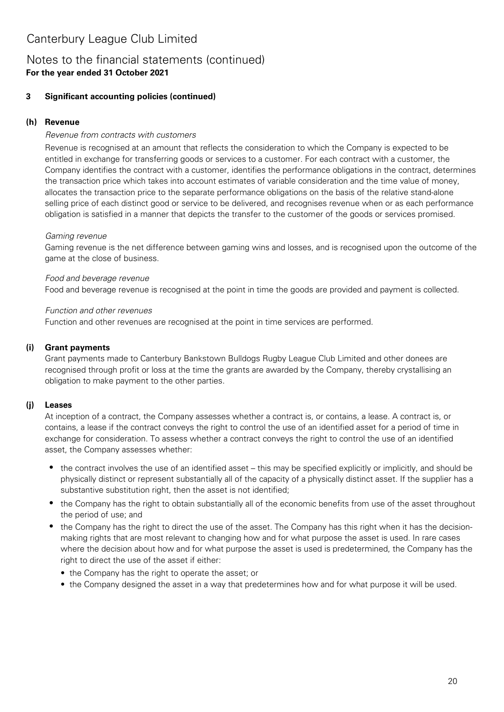### Notes to the financial statements (continued) **For the year ended 31 October 2021**

#### **3 Significant accounting policies (continued)**

#### **(h) Revenue**

#### Revenue from contracts with customers

Revenue is recognised at an amount that reflects the consideration to which the Company is expected to be entitled in exchange for transferring goods or services to a customer. For each contract with a customer, the Company identifies the contract with a customer, identifies the performance obligations in the contract, determines the transaction price which takes into account estimates of variable consideration and the time value of money, allocates the transaction price to the separate performance obligations on the basis of the relative stand-alone selling price of each distinct good or service to be delivered, and recognises revenue when or as each performance obligation is satisfied in a manner that depicts the transfer to the customer of the goods or services promised.

#### Gaming revenue

Gaming revenue is the net difference between gaming wins and losses, and is recognised upon the outcome of the game at the close of business.

#### Food and beverage revenue

Food and beverage revenue is recognised at the point in time the goods are provided and payment is collected.

#### Function and other revenues

Function and other revenues are recognised at the point in time services are performed.

#### **(i) Grant payments**

Grant payments made to Canterbury Bankstown Bulldogs Rugby League Club Limited and other donees are recognised through profit or loss at the time the grants are awarded by the Company, thereby crystallising an obligation to make payment to the other parties.

#### **(j) Leases**

At inception of a contract, the Company assesses whether a contract is, or contains, a lease. A contract is, or contains, a lease if the contract conveys the right to control the use of an identified asset for a period of time in exchange for consideration. To assess whether a contract conveys the right to control the use of an identified asset, the Company assesses whether:

- the contract involves the use of an identified asset this may be specified explicitly or implicitly, and should be physically distinct or represent substantially all of the capacity of a physically distinct asset. If the supplier has a substantive substitution right, then the asset is not identified;
- the Company has the right to obtain substantially all of the economic benefits from use of the asset throughout the period of use; and
- the Company has the right to direct the use of the asset. The Company has this right when it has the decisionmaking rights that are most relevant to changing how and for what purpose the asset is used. In rare cases where the decision about how and for what purpose the asset is used is predetermined, the Company has the right to direct the use of the asset if either:
	- the Company has the right to operate the asset; or
	- the Company designed the asset in a way that predetermines how and for what purpose it will be used.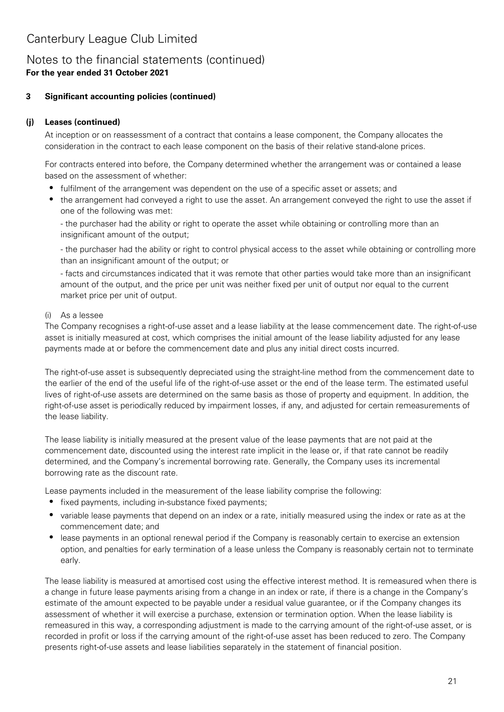### Notes to the financial statements (continued) **For the year ended 31 October 2021**

#### **3 Significant accounting policies (continued)**

#### **(j) Leases (continued)**

At inception or on reassessment of a contract that contains a lease component, the Company allocates the consideration in the contract to each lease component on the basis of their relative stand-alone prices.

For contracts entered into before, the Company determined whether the arrangement was or contained a lease based on the assessment of whether:

- fulfilment of the arrangement was dependent on the use of a specific asset or assets; and
- the arrangement had conveyed a right to use the asset. An arrangement conveyed the right to use the asset if one of the following was met:

- the purchaser had the ability or right to operate the asset while obtaining or controlling more than an insignificant amount of the output;

- the purchaser had the ability or right to control physical access to the asset while obtaining or controlling more than an insignificant amount of the output; or

- facts and circumstances indicated that it was remote that other parties would take more than an insignificant amount of the output, and the price per unit was neither fixed per unit of output nor equal to the current market price per unit of output.

#### (i) As a lessee

The Company recognises a right-of-use asset and a lease liability at the lease commencement date. The right-of-use asset is initially measured at cost, which comprises the initial amount of the lease liability adjusted for any lease payments made at or before the commencement date and plus any initial direct costs incurred.

The right-of-use asset is subsequently depreciated using the straight-line method from the commencement date to the earlier of the end of the useful life of the right-of-use asset or the end of the lease term. The estimated useful lives of right-of-use assets are determined on the same basis as those of property and equipment. In addition, the right-of-use asset is periodically reduced by impairment losses, if any, and adjusted for certain remeasurements of the lease liability.

The lease liability is initially measured at the present value of the lease payments that are not paid at the commencement date, discounted using the interest rate implicit in the lease or, if that rate cannot be readily determined, and the Company's incremental borrowing rate. Generally, the Company uses its incremental borrowing rate as the discount rate.

Lease payments included in the measurement of the lease liability comprise the following:

- fixed payments, including in-substance fixed payments;
- variable lease payments that depend on an index or a rate, initially measured using the index or rate as at the commencement date; and
- lease payments in an optional renewal period if the Company is reasonably certain to exercise an extension option, and penalties for early termination of a lease unless the Company is reasonably certain not to terminate early.

The lease liability is measured at amortised cost using the effective interest method. It is remeasured when there is a change in future lease payments arising from a change in an index or rate, if there is a change in the Company's estimate of the amount expected to be payable under a residual value guarantee, or if the Company changes its assessment of whether it will exercise a purchase, extension or termination option. When the lease liability is remeasured in this way, a corresponding adjustment is made to the carrying amount of the right-of-use asset, or is recorded in profit or loss if the carrying amount of the right-of-use asset has been reduced to zero. The Company presents right-of-use assets and lease liabilities separately in the statement of financial position.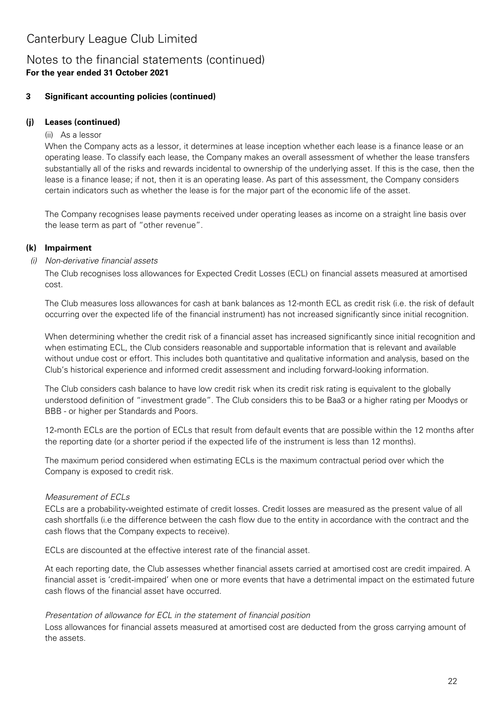### Notes to the financial statements (continued) **For the year ended 31 October 2021**

#### **3 Significant accounting policies (continued)**

#### **(j) Leases (continued)**

#### (ii) As a lessor

When the Company acts as a lessor, it determines at lease inception whether each lease is a finance lease or an operating lease. To classify each lease, the Company makes an overall assessment of whether the lease transfers substantially all of the risks and rewards incidental to ownership of the underlying asset. If this is the case, then the lease is a finance lease; if not, then it is an operating lease. As part of this assessment, the Company considers certain indicators such as whether the lease is for the major part of the economic life of the asset.

The Company recognises lease payments received under operating leases as income on a straight line basis over the lease term as part of "other revenue".

### **(k) Impairment**

#### (i) Non-derivative financial assets

The Club recognises loss allowances for Expected Credit Losses (ECL) on financial assets measured at amortised cost.

The Club measures loss allowances for cash at bank balances as 12-month ECL as credit risk (i.e. the risk of default occurring over the expected life of the financial instrument) has not increased significantly since initial recognition.

When determining whether the credit risk of a financial asset has increased significantly since initial recognition and when estimating ECL, the Club considers reasonable and supportable information that is relevant and available without undue cost or effort. This includes both quantitative and qualitative information and analysis, based on the Club's historical experience and informed credit assessment and including forward‑looking information.

The Club considers cash balance to have low credit risk when its credit risk rating is equivalent to the globally understood definition of "investment grade". The Club considers this to be Baa3 or a higher rating per Moodys or BBB - or higher per Standards and Poors.

12‑month ECLs are the portion of ECLs that result from default events that are possible within the 12 months after the reporting date (or a shorter period if the expected life of the instrument is less than 12 months).

The maximum period considered when estimating ECLs is the maximum contractual period over which the Company is exposed to credit risk.

### Measurement of ECLs

ECLs are a probability‑weighted estimate of credit losses. Credit losses are measured as the present value of all cash shortfalls (i.e the difference between the cash flow due to the entity in accordance with the contract and the cash flows that the Company expects to receive).

ECLs are discounted at the effective interest rate of the financial asset.

At each reporting date, the Club assesses whether financial assets carried at amortised cost are credit impaired. A financial asset is 'credit-impaired' when one or more events that have a detrimental impact on the estimated future cash flows of the financial asset have occurred.

#### Presentation of allowance for ECL in the statement of financial position

Loss allowances for financial assets measured at amortised cost are deducted from the gross carrying amount of the assets.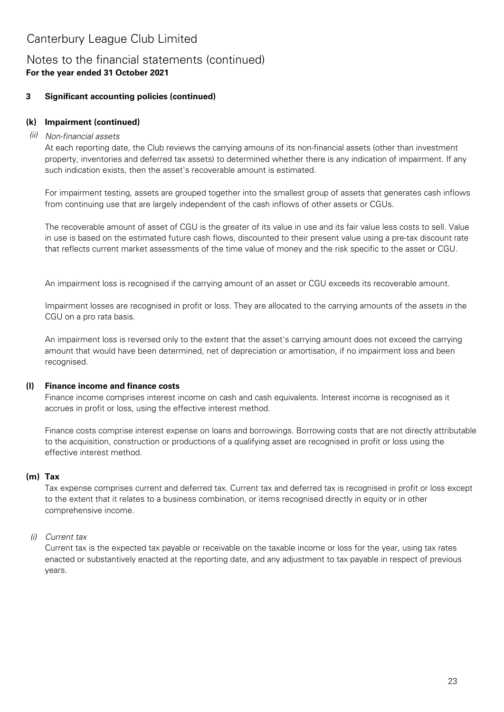### Notes to the financial statements (continued) **For the year ended 31 October 2021**

#### **3 Significant accounting policies (continued)**

### **(k) Impairment (continued)**

### (ii) Non-financial assets

At each reporting date, the Club reviews the carrying amouns of its non-financial assets (other than investment property, inventories and deferred tax assets) to determined whether there is any indication of impairment. If any such indication exists, then the asset's recoverable amount is estimated.

For impairment testing, assets are grouped together into the smallest group of assets that generates cash inflows from continuing use that are largely independent of the cash inflows of other assets or CGUs.

The recoverable amount of asset of CGU is the greater of its value in use and its fair value less costs to sell. Value in use is based on the estimated future cash flows, discounted to their present value using a pre-tax discount rate that reflects current market assessments of the time value of money and the risk specific to the asset or CGU.

An impairment loss is recognised if the carrying amount of an asset or CGU exceeds its recoverable amount.

Impairment losses are recognised in profit or loss. They are allocated to the carrying amounts of the assets in the CGU on a pro rata basis.

An impairment loss is reversed only to the extent that the asset's carrying amount does not exceed the carrying amount that would have been determined, net of depreciation or amortisation, if no impairment loss and been recognised.

#### **(l) Finance income and finance costs**

Finance income comprises interest income on cash and cash equivalents. Interest income is recognised as it accrues in profit or loss, using the effective interest method.

Finance costs comprise interest expense on loans and borrowings. Borrowing costs that are not directly attributable to the acquisition, construction or productions of a qualifying asset are recognised in profit or loss using the effective interest method.

### **(m) Tax**

Tax expense comprises current and deferred tax. Current tax and deferred tax is recognised in profit or loss except to the extent that it relates to a business combination, or items recognised directly in equity or in other comprehensive income.

### (i) Current tax

Current tax is the expected tax payable or receivable on the taxable income or loss for the year, using tax rates enacted or substantively enacted at the reporting date, and any adjustment to tax payable in respect of previous years.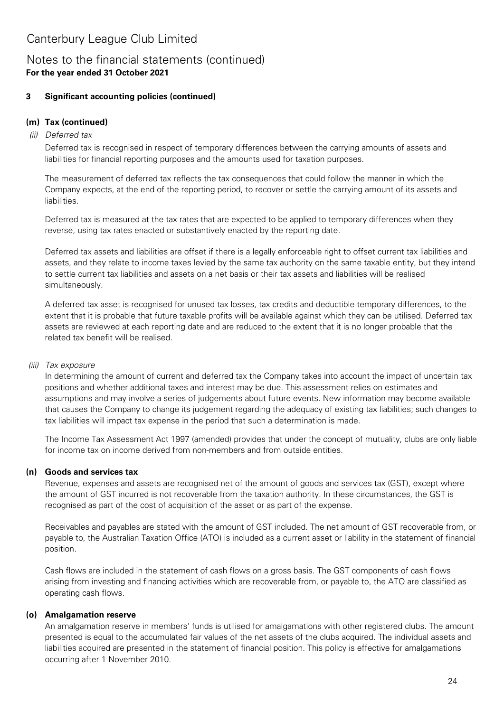### Notes to the financial statements (continued) **For the year ended 31 October 2021**

#### **3 Significant accounting policies (continued)**

### **(m) Tax (continued)**

#### (ii) Deferred tax

Deferred tax is recognised in respect of temporary differences between the carrying amounts of assets and liabilities for financial reporting purposes and the amounts used for taxation purposes.

The measurement of deferred tax reflects the tax consequences that could follow the manner in which the Company expects, at the end of the reporting period, to recover or settle the carrying amount of its assets and liabilities.

Deferred tax is measured at the tax rates that are expected to be applied to temporary differences when they reverse, using tax rates enacted or substantively enacted by the reporting date.

Deferred tax assets and liabilities are offset if there is a legally enforceable right to offset current tax liabilities and assets, and they relate to income taxes levied by the same tax authority on the same taxable entity, but they intend to settle current tax liabilities and assets on a net basis or their tax assets and liabilities will be realised simultaneously.

A deferred tax asset is recognised for unused tax losses, tax credits and deductible temporary differences, to the extent that it is probable that future taxable profits will be available against which they can be utilised. Deferred tax assets are reviewed at each reporting date and are reduced to the extent that it is no longer probable that the related tax benefit will be realised.

### (iii) Tax exposure

In determining the amount of current and deferred tax the Company takes into account the impact of uncertain tax positions and whether additional taxes and interest may be due. This assessment relies on estimates and assumptions and may involve a series of judgements about future events. New information may become available that causes the Company to change its judgement regarding the adequacy of existing tax liabilities; such changes to tax liabilities will impact tax expense in the period that such a determination is made.

The Income Tax Assessment Act 1997 (amended) provides that under the concept of mutuality, clubs are only liable for income tax on income derived from non-members and from outside entities.

### **(n) Goods and services tax**

Revenue, expenses and assets are recognised net of the amount of goods and services tax (GST), except where the amount of GST incurred is not recoverable from the taxation authority. In these circumstances, the GST is recognised as part of the cost of acquisition of the asset or as part of the expense.

Receivables and payables are stated with the amount of GST included. The net amount of GST recoverable from, or payable to, the Australian Taxation Office (ATO) is included as a current asset or liability in the statement of financial position.

Cash flows are included in the statement of cash flows on a gross basis. The GST components of cash flows arising from investing and financing activities which are recoverable from, or payable to, the ATO are classified as operating cash flows.

### **(o) Amalgamation reserve**

An amalgamation reserve in members' funds is utilised for amalgamations with other registered clubs. The amount presented is equal to the accumulated fair values of the net assets of the clubs acquired. The individual assets and liabilities acquired are presented in the statement of financial position. This policy is effective for amalgamations occurring after 1 November 2010.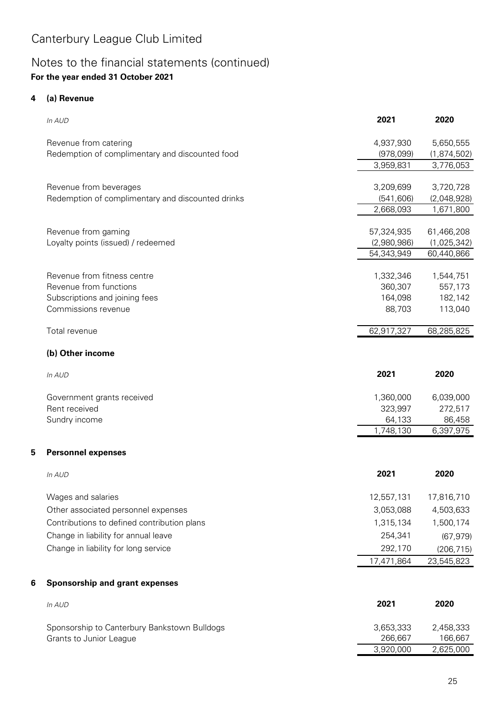## Notes to the financial statements (continued) **For the year ended 31 October 2021**

#### **4 (a) Revenue**

**5**

**6**

| In AUD                                            | 2021        | 2020        |
|---------------------------------------------------|-------------|-------------|
| Revenue from catering                             | 4,937,930   | 5,650,555   |
| Redemption of complimentary and discounted food   | (978,099)   | (1,874,502) |
|                                                   | 3,959,831   | 3,776,053   |
| Revenue from beverages                            | 3,209,699   | 3,720,728   |
| Redemption of complimentary and discounted drinks | (541, 606)  | (2,048,928) |
|                                                   | 2,668,093   | 1,671,800   |
| Revenue from gaming                               | 57,324,935  | 61,466,208  |
| Loyalty points (issued) / redeemed                | (2,980,986) | (1,025,342) |
|                                                   | 54,343,949  | 60,440,866  |
| Revenue from fitness centre                       | 1,332,346   | 1,544,751   |
| Revenue from functions                            | 360,307     | 557,173     |
| Subscriptions and joining fees                    | 164,098     | 182,142     |
| Commissions revenue                               | 88,703      | 113,040     |
| Total revenue                                     | 62,917,327  | 68,285,825  |
|                                                   |             |             |
| (b) Other income                                  |             |             |
| In AUD                                            | 2021        | 2020        |
| Government grants received                        | 1,360,000   | 6,039,000   |
| Rent received                                     | 323,997     | 272,517     |
| Sundry income                                     | 64,133      | 86,458      |
|                                                   | 1,748,130   | 6,397,975   |
| <b>Personnel expenses</b>                         |             |             |
| In AUD                                            | 2021        | 2020        |
| Wages and salaries                                | 12,557,131  | 17,816,710  |
| Other associated personnel expenses               | 3,053,088   | 4,503,633   |
| Contributions to defined contribution plans       | 1,315,134   | 1,500,174   |
| Change in liability for annual leave              | 254,341     | (67, 979)   |
| Change in liability for long service              | 292,170     | (206, 715)  |
|                                                   | 17,471,864  | 23,545,823  |
| <b>Sponsorship and grant expenses</b>             |             |             |
| In AUD                                            | 2021        | 2020        |
| Sponsorship to Canterbury Bankstown Bulldogs      | 3,653,333   | 2,458,333   |
| Grants to Junior League                           | 266,667     | 166,667     |
|                                                   | 3,920,000   | 2,625,000   |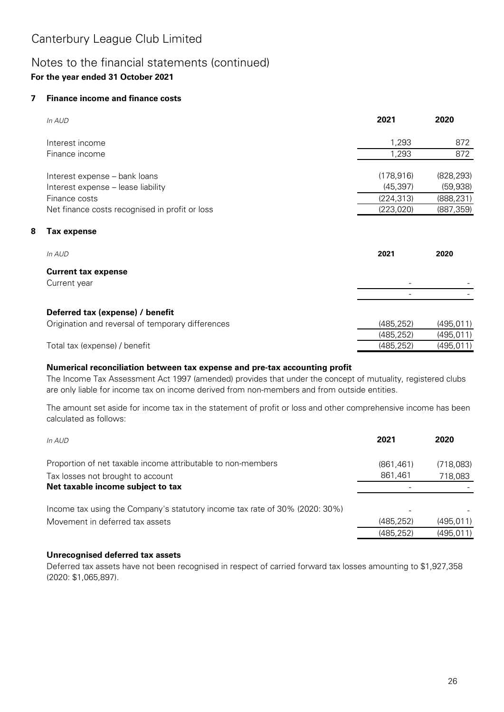### Notes to the financial statements (continued) **For the year ended 31 October 2021**

#### **7 Finance income and finance costs**

**8**

| In AUD                                            | 2021       | 2020       |
|---------------------------------------------------|------------|------------|
| Interest income                                   | 1,293      | 872        |
| Finance income                                    | 1,293      | 872        |
| Interest expense - bank loans                     | (178, 916) | (828, 293) |
| Interest expense - lease liability                | (45, 397)  | (59, 938)  |
| Finance costs                                     | (224, 313) | (888, 231) |
| Net finance costs recognised in profit or loss    | (223, 020) | (887, 359) |
| <b>Tax expense</b>                                |            |            |
| In AUD                                            | 2021       | 2020       |
| <b>Current tax expense</b>                        |            |            |
| Current year                                      |            |            |
|                                                   |            |            |
| Deferred tax (expense) / benefit                  |            |            |
| Origination and reversal of temporary differences | (485, 252) | (495, 011) |
|                                                   | (485, 252) | (495, 011) |
| Total tax (expense) / benefit                     | (485, 252) | (495, 011) |

### **Numerical reconciliation between tax expense and pre-tax accounting profit**

The Income Tax Assessment Act 1997 (amended) provides that under the concept of mutuality, registered clubs are only liable for income tax on income derived from non-members and from outside entities.

The amount set aside for income tax in the statement of profit or loss and other comprehensive income has been calculated as follows:

| In AUD                                                                      | 2021       | 2020      |
|-----------------------------------------------------------------------------|------------|-----------|
| Proportion of net taxable income attributable to non-members                | (861, 461) | (718,083) |
| Tax losses not brought to account                                           | 861,461    | 718,083   |
| Net taxable income subject to tax                                           |            |           |
| Income tax using the Company's statutory income tax rate of 30% (2020: 30%) |            |           |
| Movement in deferred tax assets                                             | (485, 252) | (495.011) |
|                                                                             | (485, 252) | (495,011) |

### **Unrecognised deferred tax assets**

Deferred tax assets have not been recognised in respect of carried forward tax losses amounting to \$1,927,358 (2020: \$1,065,897).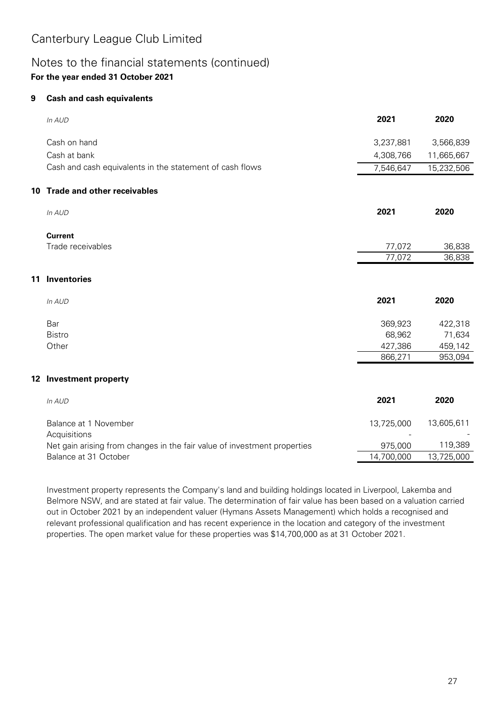### Notes to the financial statements (continued) **For the year ended 31 October 2021**

#### **9 Cash and cash equivalents**

|    | In AUD                                                                   | 2021       | 2020       |
|----|--------------------------------------------------------------------------|------------|------------|
|    | Cash on hand                                                             | 3,237,881  | 3,566,839  |
|    | Cash at bank                                                             | 4,308,766  | 11,665,667 |
|    | Cash and cash equivalents in the statement of cash flows                 | 7,546,647  | 15,232,506 |
| 10 | <b>Trade and other receivables</b>                                       |            |            |
|    | In AUD                                                                   | 2021       | 2020       |
|    | <b>Current</b>                                                           |            |            |
|    | Trade receivables                                                        | 77,072     | 36,838     |
|    |                                                                          | 77,072     | 36,838     |
| 11 | <b>Inventories</b>                                                       |            |            |
|    | In AUD                                                                   | 2021       | 2020       |
|    | Bar                                                                      | 369,923    | 422,318    |
|    | <b>Bistro</b>                                                            | 68,962     | 71,634     |
|    | Other                                                                    | 427,386    | 459,142    |
|    |                                                                          | 866,271    | 953,094    |
|    | 12 Investment property                                                   |            |            |
|    | In AUD                                                                   | 2021       | 2020       |
|    | Balance at 1 November                                                    | 13,725,000 | 13,605,611 |
|    | Acquisitions                                                             |            |            |
|    | Net gain arising from changes in the fair value of investment properties | 975,000    | 119,389    |
|    | Balance at 31 October                                                    | 14,700,000 | 13,725,000 |

Investment property represents the Company's land and building holdings located in Liverpool, Lakemba and Belmore NSW, and are stated at fair value. The determination of fair value has been based on a valuation carried out in October 2021 by an independent valuer (Hymans Assets Management) which holds a recognised and relevant professional qualification and has recent experience in the location and category of the investment properties. The open market value for these properties was \$14,700,000 as at 31 October 2021.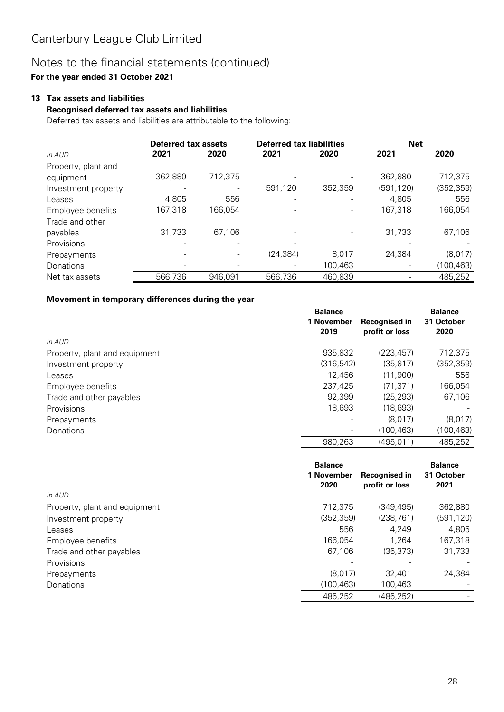## Notes to the financial statements (continued)

### **For the year ended 31 October 2021**

#### **13 Tax assets and liabilities**

#### **Recognised deferred tax assets and liabilities**

Deferred tax assets and liabilities are attributable to the following:

|                     | Deferred tax assets |         | <b>Deferred tax liabilities</b> |         | <b>Net</b> |            |
|---------------------|---------------------|---------|---------------------------------|---------|------------|------------|
| In AUD              | 2021                | 2020    | 2021                            | 2020    | 2021       | 2020       |
| Property, plant and |                     |         |                                 |         |            |            |
| equipment           | 362,880             | 712,375 |                                 |         | 362,880    | 712,375    |
| Investment property |                     |         | 591.120                         | 352,359 | (591, 120) | (352, 359) |
| Leases              | 4.805               | 556     |                                 |         | 4.805      | 556        |
| Employee benefits   | 167,318             | 166.054 |                                 |         | 167,318    | 166,054    |
| Trade and other     |                     |         |                                 |         |            |            |
| payables            | 31,733              | 67,106  |                                 |         | 31,733     | 67,106     |
| Provisions          |                     |         |                                 |         |            |            |
| Prepayments         |                     |         | (24, 384)                       | 8,017   | 24,384     | (8,017)    |
| Donations           |                     |         |                                 | 100,463 |            | (100, 463) |
| Net tax assets      | 566,736             | 946,091 | 566,736                         | 460,839 |            | 485,252    |

#### **Movement in temporary differences during the year**

|                               | <b>Balance</b> |                | <b>Balance</b> |
|-------------------------------|----------------|----------------|----------------|
|                               | 1 November     | Recognised in  | 31 October     |
|                               | 2019           | profit or loss | 2020           |
| In AUD                        |                |                |                |
| Property, plant and equipment | 935,832        | (223, 457)     | 712.375        |
| Investment property           | (316, 542)     | (35, 817)      | (352, 359)     |
| Leases                        | 12.456         | (11,900)       | 556            |
| Employee benefits             | 237,425        | (71.371)       | 166,054        |
| Trade and other payables      | 92,399         | (25, 293)      | 67.106         |
| Provisions                    | 18,693         | (18,693)       |                |
| Prepayments                   |                | (8.017)        | (8,017)        |
| Donations                     |                | (100, 463)     | (100,463)      |
|                               | 980,263        | (495.011)      | 485,252        |

|                               | <b>Balance</b> |                      | <b>Balance</b> |
|-------------------------------|----------------|----------------------|----------------|
|                               | 1 November     | <b>Recognised in</b> | 31 October     |
|                               | 2020           | profit or loss       | 2021           |
| In AUD                        |                |                      |                |
| Property, plant and equipment | 712,375        | (349, 495)           | 362,880        |
| Investment property           | (352, 359)     | (238, 761)           | (591, 120)     |
| Leases                        | 556            | 4.249                | 4,805          |
| Employee benefits             | 166.054        | 1.264                | 167,318        |
| Trade and other payables      | 67,106         | (35, 373)            | 31,733         |
| Provisions                    |                |                      |                |
| Prepayments                   | (8.017)        | 32.401               | 24,384         |
| Donations                     | (100, 463)     | 100,463              |                |
|                               | 485,252        | (485, 252)           |                |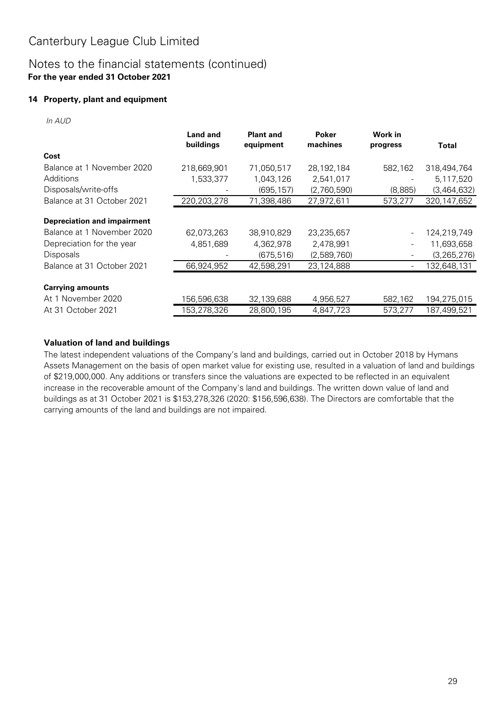### Notes to the financial statements (continued) **For the year ended 31 October 2021**

### **14 Property, plant and equipment**

In AUD

|                                    | <b>Land and</b><br>buildings | <b>Plant and</b><br>equipment | Poker<br>machines | Work in<br>progress      | <b>Total</b>  |
|------------------------------------|------------------------------|-------------------------------|-------------------|--------------------------|---------------|
| Cost                               |                              |                               |                   |                          |               |
| Balance at 1 November 2020         | 218,669,901                  | 71,050,517                    | 28,192,184        | 582,162                  | 318,494,764   |
| Additions                          | 1,533,377                    | 1,043,126                     | 2,541,017         |                          | 5,117,520     |
| Disposals/write-offs               |                              | (695, 157)                    | (2,760,590)       | (8,885)                  | (3,464,632)   |
| Balance at 31 October 2021         | 220,203,278                  | 71,398,486                    | 27,972,611        | 573,277                  | 320, 147, 652 |
| <b>Depreciation and impairment</b> |                              |                               |                   |                          |               |
| Balance at 1 November 2020         | 62,073,263                   | 38,910,829                    | 23,235,657        |                          | 124,219,749   |
| Depreciation for the year          | 4,851,689                    | 4,362,978                     | 2,478,991         |                          | 11,693,658    |
| <b>Disposals</b>                   |                              | (675, 516)                    | (2,589,760)       | $\overline{\phantom{a}}$ | (3,265,276)   |
| Balance at 31 October 2021         | 66,924,952                   | 42,598,291                    | 23,124,888        |                          | 132,648,131   |
| <b>Carrying amounts</b>            |                              |                               |                   |                          |               |
| At 1 November 2020                 | 156,596,638                  | 32,139,688                    | 4,956,527         | 582,162                  | 194,275,015   |
| At 31 October 2021                 | 153,278,326                  | 28,800,195                    | 4,847,723         | 573,277                  | 187,499,521   |

### **Valuation of land and buildings**

The latest independent valuations of the Company's land and buildings, carried out in October 2018 by Hymans Assets Management on the basis of open market value for existing use, resulted in a valuation of land and buildings of \$219,000,000. Any additions or transfers since the valuations are expected to be reflected in an equivalent increase in the recoverable amount of the Company's land and buildings. The written down value of land and buildings as at 31 October 2021 is \$153,278,326 (2020: \$156,596,638). The Directors are comfortable that the carrying amounts of the land and buildings are not impaired.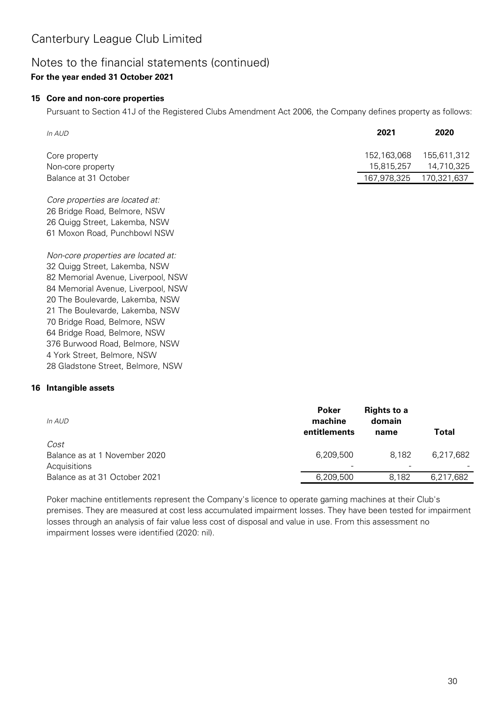### Notes to the financial statements (continued) **For the year ended 31 October 2021**

### **15 Core and non-core properties**

Pursuant to Section 41J of the Registered Clubs Amendment Act 2006, the Company defines property as follows:

| In AUD                             | 2021                      | 2020                      |
|------------------------------------|---------------------------|---------------------------|
| Core property<br>Non-core property | 152,163,068<br>15.815.257 | 155.611.312<br>14.710.325 |
| Balance at 31 October              | 167.978.325               | 170,321,637               |

Core properties are located at: 26 Bridge Road, Belmore, NSW 26 Quigg Street, Lakemba, NSW 61 Moxon Road, Punchbowl NSW

Non-core properties are located at: 32 Quigg Street, Lakemba, NSW 82 Memorial Avenue, Liverpool, NSW 84 Memorial Avenue, Liverpool, NSW 20 The Boulevarde, Lakemba, NSW 21 The Boulevarde, Lakemba, NSW 70 Bridge Road, Belmore, NSW 64 Bridge Road, Belmore, NSW 376 Burwood Road, Belmore, NSW 4 York Street, Belmore, NSW 28 Gladstone Street, Belmore, NSW

### **16 Intangible assets**

| In AUD                                                | <b>Poker</b><br>machine<br>entitlements | <b>Rights to a</b><br>domain<br>name | Total     |
|-------------------------------------------------------|-----------------------------------------|--------------------------------------|-----------|
| Cost<br>Balance as at 1 November 2020<br>Acquisitions | 6,209,500<br>$\overline{\phantom{0}}$   | 8.182<br><b>F</b>                    | 6.217.682 |
| Balance as at 31 October 2021                         | 6,209,500                               | 8.182                                | 6,217,682 |

Poker machine entitlements represent the Company's licence to operate gaming machines at their Club's premises. They are measured at cost less accumulated impairment losses. They have been tested for impairment losses through an analysis of fair value less cost of disposal and value in use. From this assessment no impairment losses were identified (2020: nil).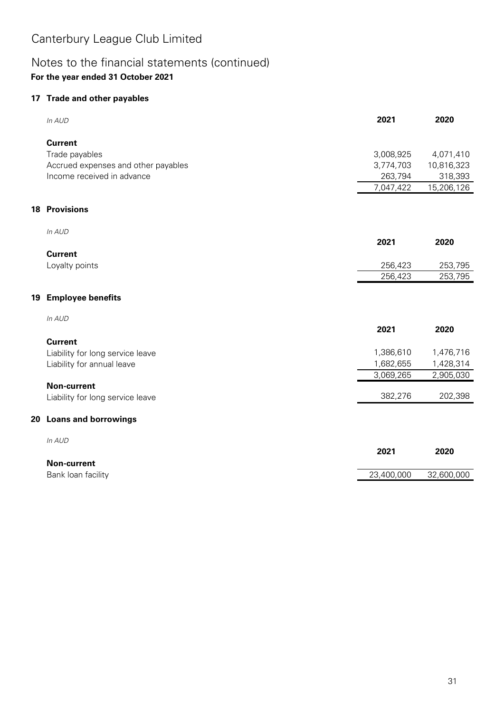## Notes to the financial statements (continued) **For the year ended 31 October 2021**

#### **17 Trade and other payables**

|    | In AUD                              | 2021       | 2020       |
|----|-------------------------------------|------------|------------|
|    | <b>Current</b>                      |            |            |
|    | Trade payables                      | 3,008,925  | 4,071,410  |
|    | Accrued expenses and other payables | 3,774,703  | 10,816,323 |
|    | Income received in advance          | 263,794    | 318,393    |
|    |                                     | 7,047,422  | 15,206,126 |
|    | <b>18 Provisions</b>                |            |            |
|    | In AUD                              |            |            |
|    |                                     | 2021       | 2020       |
|    | <b>Current</b>                      |            |            |
|    | Loyalty points                      | 256,423    | 253,795    |
|    |                                     | 256,423    | 253,795    |
| 19 | <b>Employee benefits</b>            |            |            |
|    | In AUD                              |            |            |
|    |                                     | 2021       | 2020       |
|    | <b>Current</b>                      |            |            |
|    | Liability for long service leave    | 1,386,610  | 1,476,716  |
|    | Liability for annual leave          | 1,682,655  | 1,428,314  |
|    |                                     | 3,069,265  | 2,905,030  |
|    | <b>Non-current</b>                  |            |            |
|    | Liability for long service leave    | 382,276    | 202,398    |
|    | 20 Loans and borrowings             |            |            |
|    | In AUD                              |            |            |
|    |                                     | 2021       | 2020       |
|    | <b>Non-current</b>                  |            |            |
|    | Bank loan facility                  | 23,400,000 | 32,600,000 |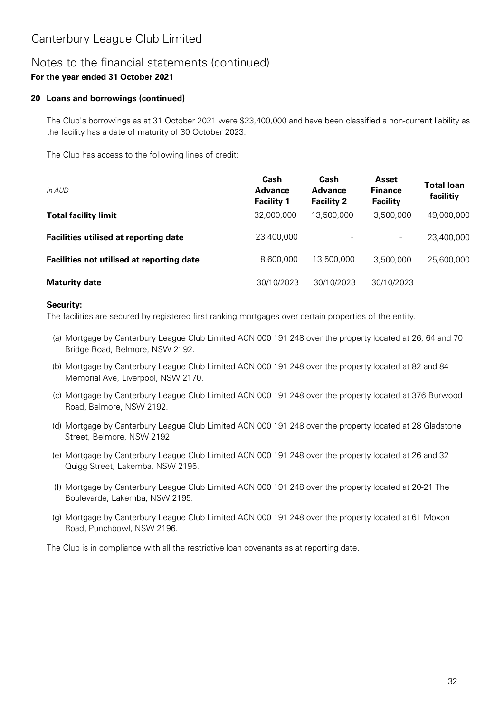### Notes to the financial statements (continued) **For the year ended 31 October 2021**

### **20 Loans and borrowings (continued)**

The Club's borrowings as at 31 October 2021 were \$23,400,000 and have been classified a non-current liability as the facility has a date of maturity of 30 October 2023.

The Club has access to the following lines of credit:

| In AUD                                       | Cash<br><b>Advance</b><br><b>Facility 1</b> | Cash<br><b>Advance</b><br><b>Facility 2</b> | Asset<br><b>Finance</b><br><b>Facility</b> | <b>Total loan</b><br>facilitiy |
|----------------------------------------------|---------------------------------------------|---------------------------------------------|--------------------------------------------|--------------------------------|
| <b>Total facility limit</b>                  | 32,000,000                                  | 13,500,000                                  | 3.500.000                                  | 49,000,000                     |
| <b>Facilities utilised at reporting date</b> | 23,400,000                                  |                                             | $\overline{\phantom{a}}$                   | 23,400,000                     |
| Facilities not utilised at reporting date    | 8,600,000                                   | 13,500,000                                  | 3,500,000                                  | 25,600,000                     |
| <b>Maturity date</b>                         | 30/10/2023                                  | 30/10/2023                                  | 30/10/2023                                 |                                |

#### **Security:**

The facilities are secured by registered first ranking mortgages over certain properties of the entity.

- (a) Mortgage by Canterbury League Club Limited ACN 000 191 248 over the property located at 26, 64 and 70 Bridge Road, Belmore, NSW 2192.
- (b) Mortgage by Canterbury League Club Limited ACN 000 191 248 over the property located at 82 and 84 Memorial Ave, Liverpool, NSW 2170.
- (c) Mortgage by Canterbury League Club Limited ACN 000 191 248 over the property located at 376 Burwood Road, Belmore, NSW 2192.
- (d) Mortgage by Canterbury League Club Limited ACN 000 191 248 over the property located at 28 Gladstone Street, Belmore, NSW 2192.
- (e) Mortgage by Canterbury League Club Limited ACN 000 191 248 over the property located at 26 and 32 Quigg Street, Lakemba, NSW 2195.
- (f) Mortgage by Canterbury League Club Limited ACN 000 191 248 over the property located at 20-21 The Boulevarde, Lakemba, NSW 2195.
- (g) Mortgage by Canterbury League Club Limited ACN 000 191 248 over the property located at 61 Moxon Road, Punchbowl, NSW 2196.

The Club is in compliance with all the restrictive loan covenants as at reporting date.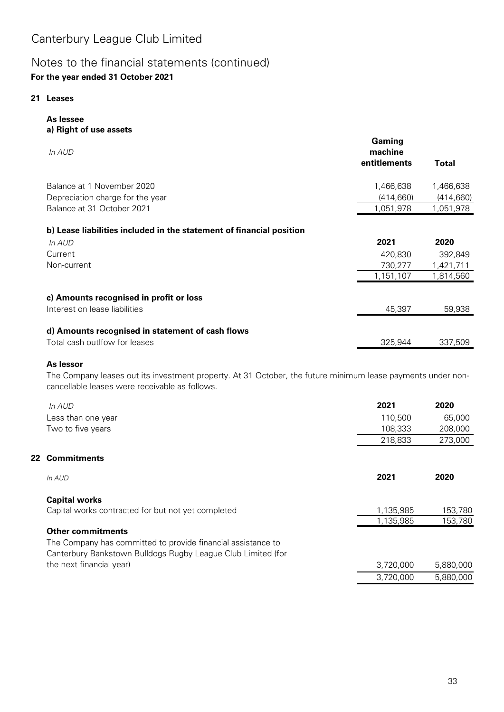### Notes to the financial statements (continued) **For the year ended 31 October 2021**

#### **21 Leases**

**As lessee**

| a) Right of use assets                                                   |                                   |           |
|--------------------------------------------------------------------------|-----------------------------------|-----------|
| In AUD                                                                   | Gaming<br>machine<br>entitlements | Total     |
| Balance at 1 November 2020                                               | 1,466,638                         | 1,466,638 |
| Depreciation charge for the year                                         | (414,660)                         | (414,660) |
| Balance at 31 October 2021                                               | 1,051,978                         | 1,051,978 |
| b) Lease liabilities included in the statement of financial position     |                                   |           |
| In AUD                                                                   | 2021                              | 2020      |
| Current                                                                  | 420,830                           | 392,849   |
| Non-current                                                              | 730,277                           | 1,421,711 |
|                                                                          | 1,151,107                         | 1,814,560 |
| c) Amounts recognised in profit or loss<br>Interest on lease liabilities | 45,397                            | 59,938    |
|                                                                          |                                   |           |
| d) Amounts recognised in statement of cash flows                         |                                   |           |
| Total cash outlfow for leases                                            | 325,944                           | 337,509   |
|                                                                          |                                   |           |

#### **As lessor**

The Company leases out its investment property. At 31 October, the future minimum lease payments under noncancellable leases were receivable as follows.

| In AUD                                                       | 2021      | 2020      |
|--------------------------------------------------------------|-----------|-----------|
| Less than one year                                           | 110,500   | 65,000    |
| Two to five years                                            | 108,333   | 208,000   |
|                                                              | 218,833   | 273,000   |
| <b>Commitments</b>                                           |           |           |
| In AUD                                                       | 2021      | 2020      |
| <b>Capital works</b>                                         |           |           |
| Capital works contracted for but not yet completed           | 1,135,985 | 153,780   |
|                                                              | 1,135,985 | 153,780   |
| <b>Other commitments</b>                                     |           |           |
| The Company has committed to provide financial assistance to |           |           |
| Canterbury Bankstown Bulldogs Rugby League Club Limited (for |           |           |
| the next financial year)                                     | 3,720,000 | 5,880,000 |
|                                                              | 3,720,000 | 5,880,000 |
|                                                              | 22        |           |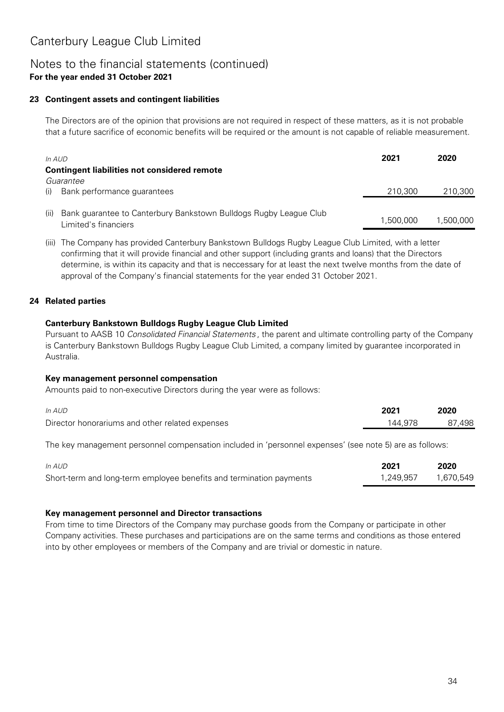### Notes to the financial statements (continued) **For the year ended 31 October 2021**

### **23 Contingent assets and contingent liabilities**

The Directors are of the opinion that provisions are not required in respect of these matters, as it is not probable that a future sacrifice of economic benefits will be required or the amount is not capable of reliable measurement.

| In AUD                                              |                                                                   | 2021      | 2020      |
|-----------------------------------------------------|-------------------------------------------------------------------|-----------|-----------|
| <b>Contingent liabilities not considered remote</b> |                                                                   |           |           |
| Guarantee                                           |                                                                   |           |           |
| Bank performance guarantees<br>(i)                  |                                                                   | 210,300   | 210,300   |
|                                                     |                                                                   |           |           |
| (11)<br>Limited's financiers                        | Bank guarantee to Canterbury Bankstown Bulldogs Rugby League Club | 1.500.000 | 1.500.000 |

(iii) The Company has provided Canterbury Bankstown Bulldogs Rugby League Club Limited, with a letter confirming that it will provide financial and other support (including grants and loans) that the Directors determine, is within its capacity and that is neccessary for at least the next twelve months from the date of approval of the Company's financial statements for the year ended 31 October 2021.

#### **24 Related parties**

#### **Canterbury Bankstown Bulldogs Rugby League Club Limited**

Pursuant to AASB 10 Consolidated Financial Statements , the parent and ultimate controlling party of the Company is Canterbury Bankstown Bulldogs Rugby League Club Limited, a company limited by guarantee incorporated in Australia.

#### **Key management personnel compensation**

Amounts paid to non-executive Directors during the year were as follows:

| In AUD                                          | 2021    | 2020   |
|-------------------------------------------------|---------|--------|
| Director honorariums and other related expenses | 144.978 | 87.498 |

The key management personnel compensation included in 'personnel expenses' (see note 5) are as follows:

| In AUD                                                              | 2021      | 2020      |
|---------------------------------------------------------------------|-----------|-----------|
| Short-term and long-term employee benefits and termination payments | 1.249.957 | 1.670.549 |

#### **Key management personnel and Director transactions**

From time to time Directors of the Company may purchase goods from the Company or participate in other Company activities. These purchases and participations are on the same terms and conditions as those entered into by other employees or members of the Company and are trivial or domestic in nature.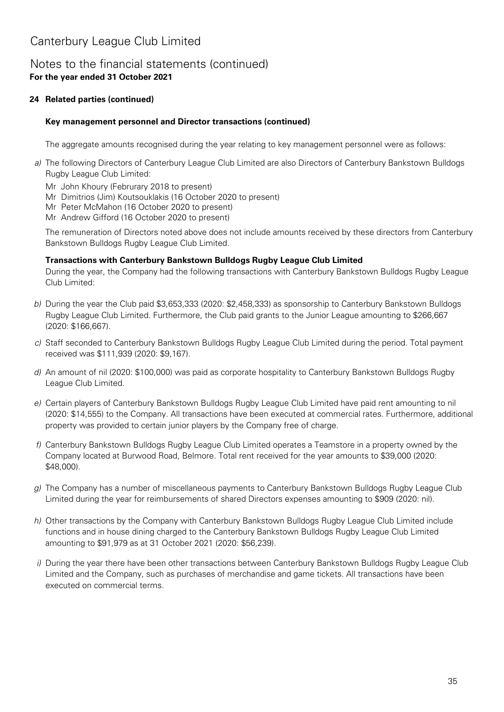### Notes to the financial statements (continued) **For the year ended 31 October 2021**

### **24 Related parties (continued)**

#### **Key management personnel and Director transactions (continued)**

The aggregate amounts recognised during the year relating to key management personnel were as follows:

- a) The following Directors of Canterbury League Club Limited are also Directors of Canterbury Bankstown Bulldogs Rugby League Club Limited:
	- Mr John Khoury (Februrary 2018 to present)
	- Mr Dimitrios (Jim) Koutsouklakis (16 October 2020 to present)
	- Mr Peter McMahon (16 October 2020 to present)
	- Mr Andrew Gifford (16 October 2020 to present)

The remuneration of Directors noted above does not include amounts received by these directors from Canterbury Bankstown Bulldogs Rugby League Club Limited.

#### **Transactions with Canterbury Bankstown Bulldogs Rugby League Club Limited**

During the year, the Company had the following transactions with Canterbury Bankstown Bulldogs Rugby League Club Limited:

- b) During the year the Club paid \$3,653,333 (2020: \$2,458,333) as sponsorship to Canterbury Bankstown Bulldogs Rugby League Club Limited. Furthermore, the Club paid grants to the Junior League amounting to \$266,667 (2020: \$166,667).
- c) Staff seconded to Canterbury Bankstown Bulldogs Rugby League Club Limited during the period. Total payment received was \$111,939 (2020: \$9,167).
- d) An amount of nil (2020: \$100,000) was paid as corporate hospitality to Canterbury Bankstown Bulldogs Rugby League Club Limited.
- e) Certain players of Canterbury Bankstown Bulldogs Rugby League Club Limited have paid rent amounting to nil (2020: \$14,555) to the Company. All transactions have been executed at commercial rates. Furthermore, additional property was provided to certain junior players by the Company free of charge.
- f) Canterbury Bankstown Bulldogs Rugby League Club Limited operates a Teamstore in a property owned by the Company located at Burwood Road, Belmore. Total rent received for the year amounts to \$39,000 (2020: \$48,000).
- g) The Company has a number of miscellaneous payments to Canterbury Bankstown Bulldogs Rugby League Club Limited during the year for reimbursements of shared Directors expenses amounting to \$909 (2020: nil).
- h) Other transactions by the Company with Canterbury Bankstown Bulldogs Rugby League Club Limited include functions and in house dining charged to the Canterbury Bankstown Bulldogs Rugby League Club Limited amounting to \$91,979 as at 31 October 2021 (2020: \$56,239).
- i) During the year there have been other transactions between Canterbury Bankstown Bulldogs Rugby League Club Limited and the Company, such as purchases of merchandise and game tickets. All transactions have been executed on commercial terms.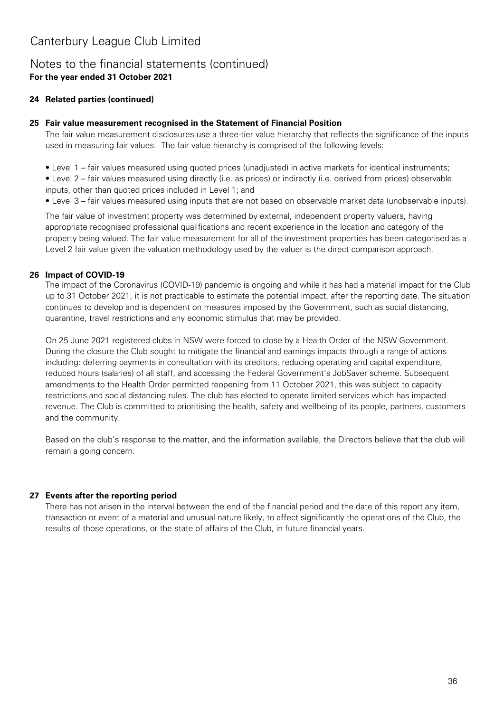### Notes to the financial statements (continued) **For the year ended 31 October 2021**

### **24 Related parties (continued)**

#### **25 Fair value measurement recognised in the Statement of Financial Position**

The fair value measurement disclosures use a three-tier value hierarchy that reflects the significance of the inputs used in measuring fair values. The fair value hierarchy is comprised of the following levels:

- Level 1 fair values measured using quoted prices (unadjusted) in active markets for identical instruments;
- Level 2 fair values measured using directly (i.e. as prices) or indirectly (i.e. derived from prices) observable inputs, other than quoted prices included in Level 1; and
- Level 3 fair values measured using inputs that are not based on observable market data (unobservable inputs).

The fair value of investment property was determined by external, independent property valuers, having appropriate recognised professional qualifications and recent experience in the location and category of the property being valued. The fair value measurement for all of the investment properties has been categorised as a Level 2 fair value given the valuation methodology used by the valuer is the direct comparison approach.

#### **26 Impact of COVID-19**

The impact of the Coronavirus (COVID-19) pandemic is ongoing and while it has had a material impact for the Club up to 31 October 2021, it is not practicable to estimate the potential impact, after the reporting date. The situation continues to develop and is dependent on measures imposed by the Government, such as social distancing, quarantine, travel restrictions and any economic stimulus that may be provided.

On 25 June 2021 registered clubs in NSW were forced to close by a Health Order of the NSW Government. During the closure the Club sought to mitigate the financial and earnings impacts through a range of actions including: deferring payments in consultation with its creditors, reducing operating and capital expenditure, reduced hours (salaries) of all staff, and accessing the Federal Government's JobSaver scheme. Subsequent amendments to the Health Order permitted reopening from 11 October 2021, this was subject to capacity restrictions and social distancing rules. The club has elected to operate limited services which has impacted revenue. The Club is committed to prioritising the health, safety and wellbeing of its people, partners, customers and the community.

Based on the club's response to the matter, and the information available, the Directors believe that the club will remain a going concern.

### **27 Events after the reporting period**

There has not arisen in the interval between the end of the financial period and the date of this report any item, transaction or event of a material and unusual nature likely, to affect significantly the operations of the Club, the results of those operations, or the state of affairs of the Club, in future financial years.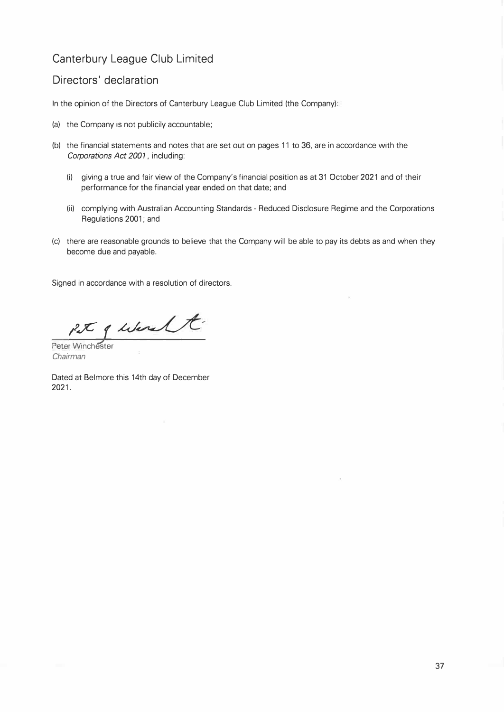### **Directors' declaration**

In the opinion of the Directors of Canterbury League Club Limited (the Company):

- (a) the Company is not publicily accountable;
- (b) the financial statements and notes that are set out on pages 11 to 36, are in accordance with the *Corporations Act 2001,* including:
	- (i) giving a true and fair view of the Company's financial position as at 31 October 2021 and of their performance for the financial year ended on that date; and
	- (ii) complying with Australian Accounting Standards Reduced Disclosure Regime and the Corporations Regulations 2001; and
- (c) there are reasonable grounds to believe that the Company will be able to pay its debts as and when they become due and payable.

Signed in accordance with a resolution of directors.

 $PL$   $f$  is lease the

Peter Winchester *Chairman* 

Dated at Belmore this 14th day of December 2021.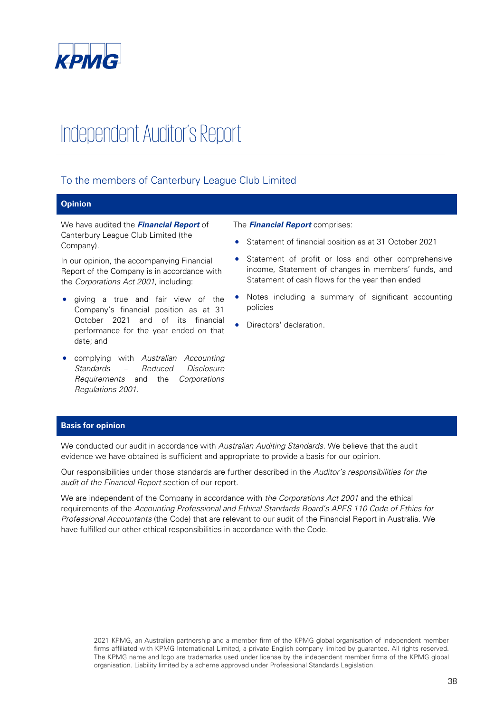

# Independent Auditor's Report

### To the members of Canterbury League Club Limited

#### **Opinion**

We have audited the **Financial Report** of Canterbury League Club Limited (the Company).

In our opinion, the accompanying Financial Report of the Company is in accordance with the Corporations Act 2001, including:

- giving a true and fair view of the Company's financial position as at 31 October 2021 and of its financial performance for the year ended on that date; and
- complying with Australian Accounting Standards – Reduced Disclosure Requirements and the Corporations Regulations 2001.

#### The **Financial Report** comprises:

- Statement of financial position as at 31 October 2021
- Statement of profit or loss and other comprehensive income, Statement of changes in members' funds, and Statement of cash flows for the year then ended
- Notes including a summary of significant accounting policies
- Directors' declaration.

#### **Basis for opinion**

We conducted our audit in accordance with Australian Auditing Standards. We believe that the audit evidence we have obtained is sufficient and appropriate to provide a basis for our opinion.

Our responsibilities under those standards are further described in the Auditor's responsibilities for the audit of the Financial Report section of our report.

We are independent of the Company in accordance with the Corporations Act 2001 and the ethical requirements of the Accounting Professional and Ethical Standards Board's APES 110 Code of Ethics for Professional Accountants (the Code) that are relevant to our audit of the Financial Report in Australia. We have fulfilled our other ethical responsibilities in accordance with the Code.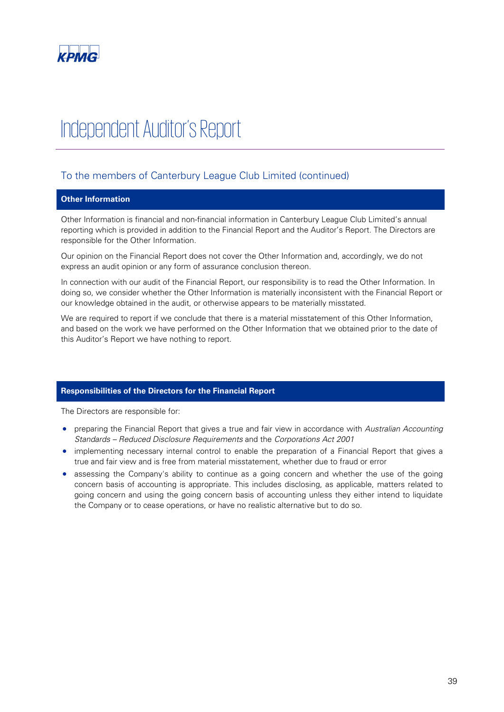

# Independent Auditor's Report

### To the members of Canterbury League Club Limited (continued)

#### **Other Information**

Other Information is financial and non-financial information in Canterbury League Club Limited's annual reporting which is provided in addition to the Financial Report and the Auditor's Report. The Directors are responsible for the Other Information.

Our opinion on the Financial Report does not cover the Other Information and, accordingly, we do not express an audit opinion or any form of assurance conclusion thereon.

In connection with our audit of the Financial Report, our responsibility is to read the Other Information. In doing so, we consider whether the Other Information is materially inconsistent with the Financial Report or our knowledge obtained in the audit, or otherwise appears to be materially misstated.

We are required to report if we conclude that there is a material misstatement of this Other Information, and based on the work we have performed on the Other Information that we obtained prior to the date of this Auditor's Report we have nothing to report.

#### **Responsibilities of the Directors for the Financial Report**

The Directors are responsible for:

- preparing the Financial Report that gives a true and fair view in accordance with Australian Accounting Standards – Reduced Disclosure Requirements and the Corporations Act 2001
- implementing necessary internal control to enable the preparation of a Financial Report that gives a true and fair view and is free from material misstatement, whether due to fraud or error
- assessing the Company's ability to continue as a going concern and whether the use of the going concern basis of accounting is appropriate. This includes disclosing, as applicable, matters related to going concern and using the going concern basis of accounting unless they either intend to liquidate the Company or to cease operations, or have no realistic alternative but to do so.